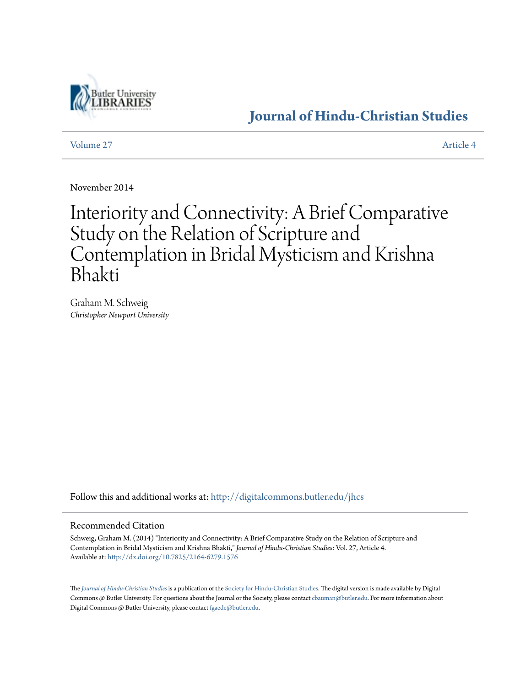

## **[Journal of Hindu-Christian Studies](http://digitalcommons.butler.edu/jhcs?utm_source=digitalcommons.butler.edu%2Fjhcs%2Fvol27%2Fiss1%2F4&utm_medium=PDF&utm_campaign=PDFCoverPages)**

[Volume 27](http://digitalcommons.butler.edu/jhcs/vol27?utm_source=digitalcommons.butler.edu%2Fjhcs%2Fvol27%2Fiss1%2F4&utm_medium=PDF&utm_campaign=PDFCoverPages) [Article 4](http://digitalcommons.butler.edu/jhcs/vol27/iss1/4?utm_source=digitalcommons.butler.edu%2Fjhcs%2Fvol27%2Fiss1%2F4&utm_medium=PDF&utm_campaign=PDFCoverPages)

November 2014

# Interiority and Connectivity: A Brief Comparative Study on the Relation of Scripture and Contemplation in Bridal Mysticism and Krishna Bhakti

Graham M. Schweig *Christopher Newport University*

Follow this and additional works at: [http://digitalcommons.butler.edu/jhcs](http://digitalcommons.butler.edu/jhcs?utm_source=digitalcommons.butler.edu%2Fjhcs%2Fvol27%2Fiss1%2F4&utm_medium=PDF&utm_campaign=PDFCoverPages)

#### Recommended Citation

Schweig, Graham M. (2014) "Interiority and Connectivity: A Brief Comparative Study on the Relation of Scripture and Contemplation in Bridal Mysticism and Krishna Bhakti," *Journal of Hindu-Christian Studies*: Vol. 27, Article 4. Available at: <http://dx.doi.org/10.7825/2164-6279.1576>

The *[Journal of Hindu-Christian Studies](http://digitalcommons.butler.edu/jhcs)* is a publication of the [Society for Hindu-Christian Studies.](http://www.hcstudies.org) The digital version is made available by Digital Commons @ Butler University. For questions about the Journal or the Society, please contact [cbauman@butler.edu.](mailto:cbauman@butler.edu) For more information about Digital Commons @ Butler University, please contact [fgaede@butler.edu](mailto:fgaede@butler.edu).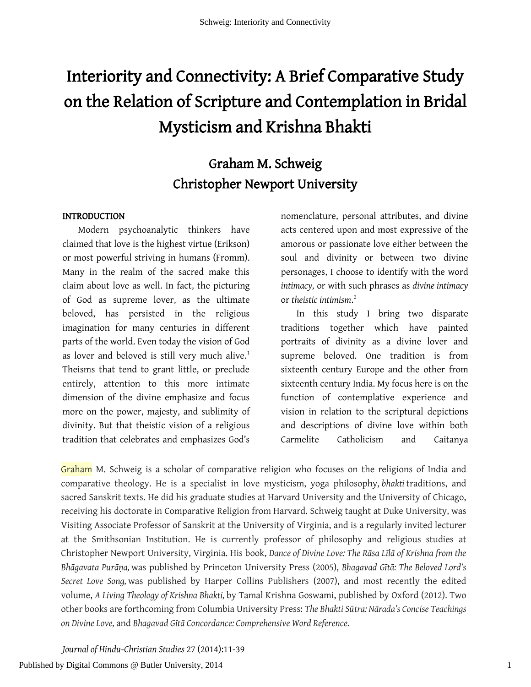# Interiority and Connectivity: A Brief Comparative Study on the Relation of Scripture and Contemplation in Bridal Mysticism and Krishna Bhakti

## Graham M. Schweig Christopher Newport University

#### INTRODUCTION

Modern psychoanalytic thinkers have claimed that love is the highest virtue (Erikson) or most powerful striving in humans (Fromm). Many in the realm of the sacred make this claim about love as well. In fact, the picturing of God as supreme lover, as the ultimate beloved, has persisted in the religious imagination for many centuries in different parts of the world. Even today the vision of God as lover and beloved is still very much alive.<sup>[1](#page-26-0)</sup> Theisms that tend to grant little, or preclude entirely, attention to this more intimate dimension of the divine emphasize and focus more on the power, majesty, and sublimity of divinity. But that theistic vision of a religious tradition that celebrates and emphasizes God's

nomenclature, personal attributes, and divine acts centered upon and most expressive of the amorous or passionate love either between the soul and divinity or between two divine personages, I choose to identify with the word *intimacy,* or with such phrases as *divine intimacy* or *theistic intimism*. [2](#page-27-0)

In this study I bring two disparate traditions together which have painted portraits of divinity as a divine lover and supreme beloved. One tradition is from sixteenth century Europe and the other from sixteenth century India. My focus here is on the function of contemplative experience and vision in relation to the scriptural depictions and descriptions of divine love within both Carmelite Catholicism and Caitanya

Graham M. Schweig is a scholar of comparative religion who focuses on the religions of India and comparative theology. He is a specialist in love mysticism, yoga philosophy, *bhakti* traditions, and sacred Sanskrit texts. He did his graduate studies at Harvard University and the University of Chicago, receiving his doctorate in Comparative Religion from Harvard. Schweig taught at Duke University, was Visiting Associate Professor of Sanskrit at the University of Virginia, and is a regularly invited lecturer at the Smithsonian Institution. He is currently professor of philosophy and religious studies at Christopher Newport University, Virginia. His book, *Dance of Divine Love: The Rāsa Līlā of Krishna from the Bhāgavata Purāṇa,* was published by Princeton University Press (2005), *Bhagavad Gītā: The Beloved Lord's Secret Love Song,* was published by Harper Collins Publishers (2007), and most recently the edited volume, *A Living Theology of Krishna Bhakti,* by Tamal Krishna Goswami, published by Oxford (2012). Two other books are forthcoming from Columbia University Press: *The Bhakti Sūtra: Nārada's Concise Teachings on Divine Love,* and *Bhagavad Gītā Concordance: Comprehensive Word Reference.*

*Journal of Hindu-Christian Studies* 27 (2014):11-39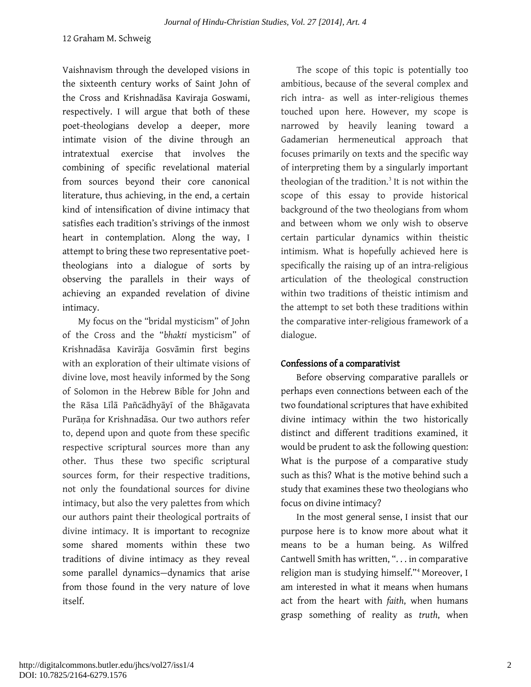Vaishnavism through the developed visions in the sixteenth century works of Saint John of the Cross and Krishnadāsa Kaviraja Goswami, respectively. I will argue that both of these poet-theologians develop a deeper, more intimate vision of the divine through an intratextual exercise that involves the combining of specific revelational material from sources beyond their core canonical literature, thus achieving, in the end, a certain kind of intensification of divine intimacy that satisfies each tradition's strivings of the inmost heart in contemplation. Along the way, I attempt to bring these two representative poettheologians into a dialogue of sorts by observing the parallels in their ways of achieving an expanded revelation of divine intimacy.

My focus on the "bridal mysticism" of John of the Cross and the "*bhakti* mysticism" of Krishnadāsa Kavirāja Gosvāmin first begins with an exploration of their ultimate visions of divine love, most heavily informed by the Song of Solomon in the Hebrew Bible for John and the Rāsa Līlā Pañcādhyāyī of the Bhāgavata Purāṇa for Krishnadāsa. Our two authors refer to, depend upon and quote from these specific respective scriptural sources more than any other. Thus these two specific scriptural sources form, for their respective traditions, not only the foundational sources for divine intimacy, but also the very palettes from which our authors paint their theological portraits of divine intimacy. It is important to recognize some shared moments within these two traditions of divine intimacy as they reveal some parallel dynamics—dynamics that arise from those found in the very nature of love itself.

The scope of this topic is potentially too ambitious, because of the several complex and rich intra- as well as inter-religious themes touched upon here. However, my scope is narrowed by heavily leaning toward a Gadamerian hermeneutical approach that focuses primarily on texts and the specific way of interpreting them by a singularly important theologian of the tradition. $3$  It is not within the scope of this essay to provide historical background of the two theologians from whom and between whom we only wish to observe certain particular dynamics within theistic intimism. What is hopefully achieved here is specifically the raising up of an intra-religious articulation of the theological construction within two traditions of theistic intimism and the attempt to set both these traditions within the comparative inter-religious framework of a dialogue.

### Confessions of a comparativist

Before observing comparative parallels or perhaps even connections between each of the two foundational scriptures that have exhibited divine intimacy within the two historically distinct and different traditions examined, it would be prudent to ask the following question: What is the purpose of a comparative study such as this? What is the motive behind such a study that examines these two theologians who focus on divine intimacy?

In the most general sense, I insist that our purpose here is to know more about what it means to be a human being. As Wilfred Cantwell Smith has written, ". . . in comparative religion man is studying himself."[4](#page-28-1) Moreover, I am interested in what it means when humans act from the heart with *faith*, when humans grasp something of reality as *truth*, when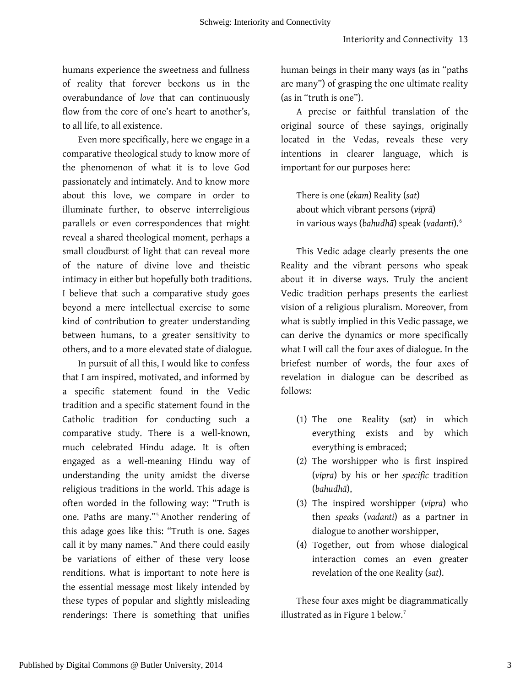humans experience the sweetness and fullness of reality that forever beckons us in the overabundance of *love* that can continuously flow from the core of one's heart to another's, to all life, to all existence.

Even more specifically, here we engage in a comparative theological study to know more of the phenomenon of what it is to love God passionately and intimately. And to know more about this love, we compare in order to illuminate further, to observe interreligious parallels or even correspondences that might reveal a shared theological moment, perhaps a small cloudburst of light that can reveal more of the nature of divine love and theistic intimacy in either but hopefully both traditions. I believe that such a comparative study goes beyond a mere intellectual exercise to some kind of contribution to greater understanding between humans, to a greater sensitivity to others, and to a more elevated state of dialogue.

In pursuit of all this, I would like to confess that I am inspired, motivated, and informed by a specific statement found in the Vedic tradition and a specific statement found in the Catholic tradition for conducting such a comparative study. There is a well-known, much celebrated Hindu adage. It is often engaged as a well-meaning Hindu way of understanding the unity amidst the diverse religious traditions in the world. This adage is often worded in the following way: "Truth is one. Paths are many."[5](#page-29-0) Another rendering of this adage goes like this: "Truth is one. Sages call it by many names." And there could easily be variations of either of these very loose renditions. What is important to note here is the essential message most likely intended by these types of popular and slightly misleading renderings: There is something that unifies

human beings in their many ways (as in "paths are many") of grasping the one ultimate reality (as in "truth is one").

A precise or faithful translation of the original source of these sayings, originally located in the Vedas, reveals these very intentions in clearer language, which is important for our purposes here:

There is one (*ekam*) Reality (*sat*) about which vibrant persons (*viprā*) in various ways (*bahudhā*) speak (*vadanti*).[6](#page-29-1)

This Vedic adage clearly presents the one Reality and the vibrant persons who speak about it in diverse ways. Truly the ancient Vedic tradition perhaps presents the earliest vision of a religious pluralism. Moreover, from what is subtly implied in this Vedic passage, we can derive the dynamics or more specifically what I will call the four axes of dialogue. In the briefest number of words, the four axes of revelation in dialogue can be described as follows:

- (1) The one Reality (*sat*) in which everything exists and by which everything is embraced;
- (2) The worshipper who is first inspired (*vipra*) by his or her *specific* tradition (*bahudhā*),
- (3) The inspired worshipper (*vipra*) who then *speaks* (*vadanti*) as a partner in dialogue to another worshipper,
- (4) Together, out from whose dialogical interaction comes an even greater revelation of the one Reality (*sat*).

These four axes might be diagrammatically illustrated as in Figure 1 below.<sup>[7](#page-29-2)</sup>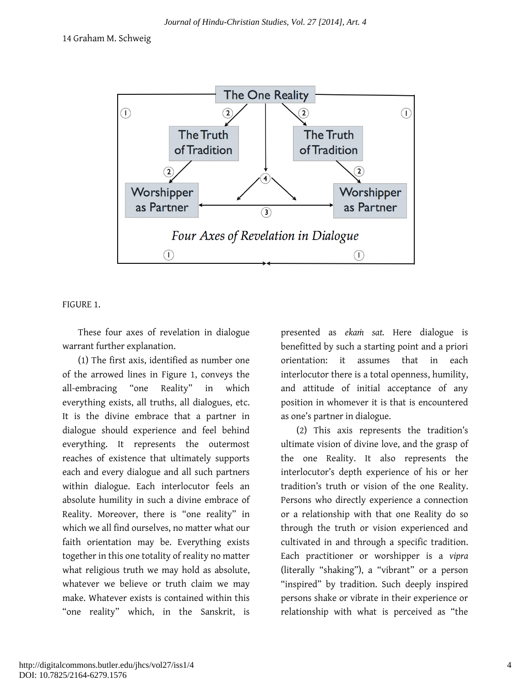

FIGURE 1.

These four axes of revelation in dialogue warrant further explanation.

(1) The first axis, identified as number one of the arrowed lines in Figure 1, conveys the all-embracing "one Reality" in which everything exists, all truths, all dialogues, etc. It is the divine embrace that a partner in dialogue should experience and feel behind everything. It represents the outermost reaches of existence that ultimately supports each and every dialogue and all such partners within dialogue. Each interlocutor feels an absolute humility in such a divine embrace of Reality. Moreover, there is "one reality" in which we all find ourselves, no matter what our faith orientation may be. Everything exists together in this one totality of reality no matter what religious truth we may hold as absolute, whatever we believe or truth claim we may make. Whatever exists is contained within this "one reality" which, in the Sanskrit, is

presented as *ekaṁ sat.* Here dialogue is benefitted by such a starting point and a priori orientation: it assumes that in each interlocutor there is a total openness, humility, and attitude of initial acceptance of any position in whomever it is that is encountered as one's partner in dialogue.

(2) This axis represents the tradition's ultimate vision of divine love, and the grasp of the one Reality. It also represents the interlocutor's depth experience of his or her tradition's truth or vision of the one Reality. Persons who directly experience a connection or a relationship with that one Reality do so through the truth or vision experienced and cultivated in and through a specific tradition. Each practitioner or worshipper is a *vipra* (literally "shaking"), a "vibrant" or a person "inspired" by tradition. Such deeply inspired persons shake or vibrate in their experience or relationship with what is perceived as "the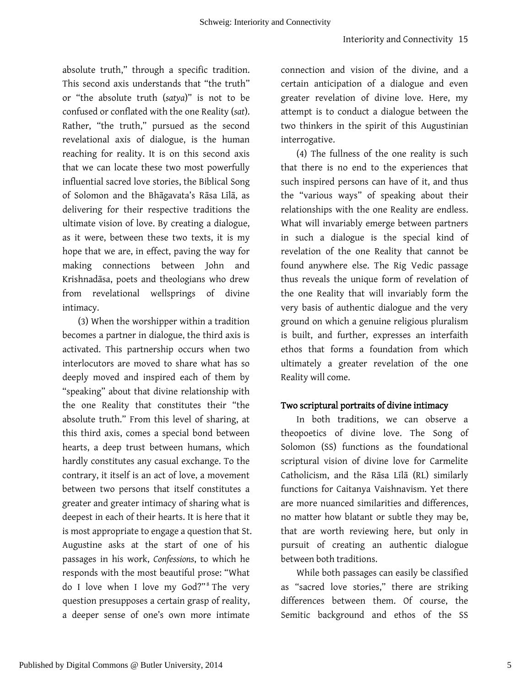absolute truth," through a specific tradition. This second axis understands that "the truth" or "the absolute truth (*satya*)" is not to be confused or conflated with the one Reality (*sat*). Rather, "the truth," pursued as the second revelational axis of dialogue, is the human reaching for reality. It is on this second axis that we can locate these two most powerfully influential sacred love stories, the Biblical Song of Solomon and the Bhāgavata's Rāsa Līlā, as delivering for their respective traditions the ultimate vision of love. By creating a dialogue, as it were, between these two texts, it is my hope that we are, in effect, paving the way for making connections between John and Krishnadāsa, poets and theologians who drew from revelational wellsprings of divine intimacy.

(3) When the worshipper within a tradition becomes a partner in dialogue, the third axis is activated. This partnership occurs when two interlocutors are moved to share what has so deeply moved and inspired each of them by "speaking" about that divine relationship with the one Reality that constitutes their "the absolute truth." From this level of sharing, at this third axis, comes a special bond between hearts, a deep trust between humans, which hardly constitutes any casual exchange. To the contrary, it itself is an act of love, a movement between two persons that itself constitutes a greater and greater intimacy of sharing what is deepest in each of their hearts. It is here that it is most appropriate to engage a question that St. Augustine asks at the start of one of his passages in his work, *Confessions*, to which he responds with the most beautiful prose: "What do I love when I love my God?"<sup>[8](#page-29-3)</sup> The very question presupposes a certain grasp of reality, a deeper sense of one's own more intimate

connection and vision of the divine, and a certain anticipation of a dialogue and even greater revelation of divine love. Here, my attempt is to conduct a dialogue between the two thinkers in the spirit of this Augustinian interrogative.

(4) The fullness of the one reality is such that there is no end to the experiences that such inspired persons can have of it, and thus the "various ways" of speaking about their relationships with the one Reality are endless. What will invariably emerge between partners in such a dialogue is the special kind of revelation of the one Reality that cannot be found anywhere else. The Rig Vedic passage thus reveals the unique form of revelation of the one Reality that will invariably form the very basis of authentic dialogue and the very ground on which a genuine religious pluralism is built, and further, expresses an interfaith ethos that forms a foundation from which ultimately a greater revelation of the one Reality will come.

#### Two scriptural portraits of divine intimacy

In both traditions, we can observe a theopoetics of divine love. The Song of Solomon (SS) functions as the foundational scriptural vision of divine love for Carmelite Catholicism, and the Rāsa Līlā (RL) similarly functions for Caitanya Vaishnavism. Yet there are more nuanced similarities and differences, no matter how blatant or subtle they may be, that are worth reviewing here, but only in pursuit of creating an authentic dialogue between both traditions.

While both passages can easily be classified as "sacred love stories," there are striking differences between them. Of course, the Semitic background and ethos of the SS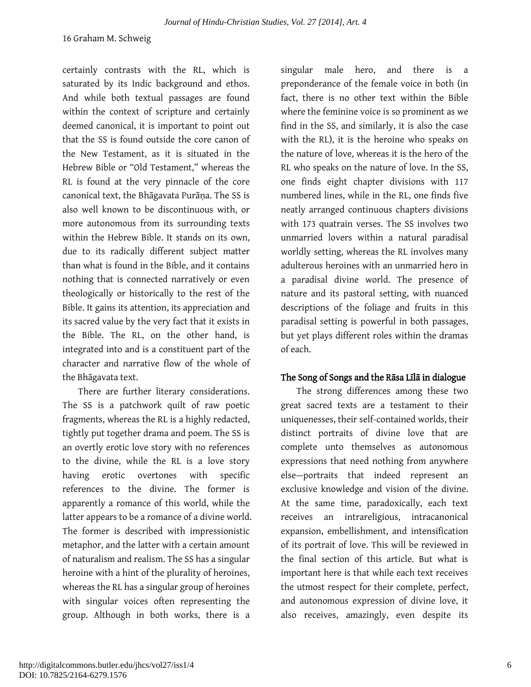certainly contrasts with the RL, which is saturated by its Indic background and ethos. And while both textual passages are found within the context of scripture and certainly deemed canonical, it is important to point out that the SS is found outside the core canon of the New Testament, as it is situated in the Hebrew Bible or "Old Testament," whereas the RL is found at the very pinnacle of the core canonical text, the Bhāgavata Purāna. The SS is also well known to be discontinuous with, or more autonomous from its surrounding texts within the Hebrew Bible. It stands on its own, due to its radically different subject matter than what is found in the Bible, and it contains nothing that is connected narratively or even theologically or historically to the rest of the Bible. It gains its attention, its appreciation and its sacred value by the very fact that it exists in the Bible. The RL, on the other hand, is integrated into and is a constituent part of the character and narrative flow of the whole of the Bhāgavata text.

There are further literary considerations. The SS is a patchwork quilt of raw poetic fragments, whereas the RL is a highly redacted, tightly put together drama and poem. The SS is an overtly erotic love story with no references to the divine, while the RL is a love story having erotic overtones with specific references to the divine. The former is apparently a romance of this world, while the latter appears to be a romance of a divine world. The former is described with impressionistic metaphor, and the latter with a certain amount of naturalism and realism. The SS has a singular heroine with a hint of the plurality of heroines, whereas the RL has a singular group of heroines with singular voices often representing the group. Although in both works, there is a

singular male hero, and there is a preponderance of the female voice in both (in fact, there is no other text within the Bible where the feminine voice is so prominent as we find in the SS, and similarly, it is also the case with the RL), it is the heroine who speaks on the nature of love, whereas it is the hero of the RL who speaks on the nature of love. In the SS, one finds eight chapter divisions with 117 numbered lines, while in the RL, one finds five neatly arranged continuous chapters divisions with 173 quatrain verses. The SS involves two unmarried lovers within a natural paradisal worldly setting, whereas the RL involves many adulterous heroines with an unmarried hero in a paradisal divine world. The presence of nature and its pastoral setting, with nuanced descriptions of the foliage and fruits in this paradisal setting is powerful in both passages, but yet plays different roles within the dramas of each.

#### The Song of Songs and the Rāsa Līlā in dialogue

The strong differences among these two great sacred texts are a testament to their uniquenesses, their self-contained worlds, their distinct portraits of divine love that are complete unto themselves as autonomous expressions that need nothing from anywhere else—portraits that indeed represent an exclusive knowledge and vision of the divine. At the same time, paradoxically, each text receives an intrareligious, intracanonical expansion, embellishment, and intensification of its portrait of love. This will be reviewed in the final section of this article. But what is important here is that while each text receives the utmost respect for their complete, perfect, and autonomous expression of divine love, it also receives, amazingly, even despite its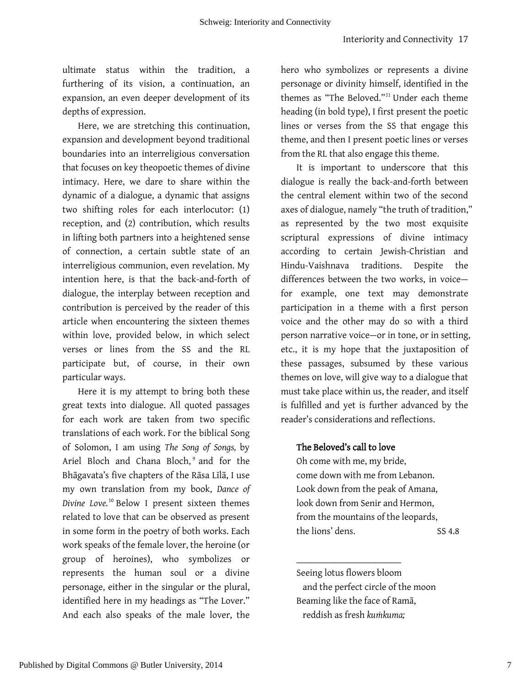ultimate status within the tradition, a furthering of its vision, a continuation, an expansion, an even deeper development of its depths of expression.

Here, we are stretching this continuation, expansion and development beyond traditional boundaries into an interreligious conversation that focuses on key theopoetic themes of divine intimacy. Here, we dare to share within the dynamic of a dialogue, a dynamic that assigns two shifting roles for each interlocutor: (1) reception, and (2) contribution, which results in lifting both partners into a heightened sense of connection, a certain subtle state of an interreligious communion, even revelation. My intention here, is that the back-and-forth of dialogue, the interplay between reception and contribution is perceived by the reader of this article when encountering the sixteen themes within love, provided below, in which select verses or lines from the SS and the RL participate but, of course, in their own particular ways.

Here it is my attempt to bring both these great texts into dialogue. All quoted passages for each work are taken from two specific translations of each work. For the biblical Song of Solomon, I am using *The Song of Songs,* by Ariel Bloch and Chana Bloch, [9](#page-29-4) and for the Bhāgavata's five chapters of the Rāsa Līlā, I use my own translation from my book, *Dance of Divine Love.*[10](#page-29-5) Below I present sixteen themes related to love that can be observed as present in some form in the poetry of both works. Each work speaks of the female lover, the heroine (or group of heroines), who symbolizes or represents the human soul or a divine personage, either in the singular or the plural, identified here in my headings as "The Lover." And each also speaks of the male lover, the

hero who symbolizes or represents a divine personage or divinity himself, identified in the themes as "The Beloved."[11](#page-29-6) Under each theme heading (in bold type), I first present the poetic lines or verses from the SS that engage this theme, and then I present poetic lines or verses from the RL that also engage this theme.

It is important to underscore that this dialogue is really the back-and-forth between the central element within two of the second axes of dialogue, namely "the truth of tradition," as represented by the two most exquisite scriptural expressions of divine intimacy according to certain Jewish-Christian and Hindu-Vaishnava traditions. Despite the differences between the two works, in voice for example, one text may demonstrate participation in a theme with a first person voice and the other may do so with a third person narrative voice—or in tone, or in setting, etc., it is my hope that the juxtaposition of these passages, subsumed by these various themes on love, will give way to a dialogue that must take place within us, the reader, and itself is fulfilled and yet is further advanced by the reader's considerations and reflections.

#### The Beloved's call to love

\_\_\_\_\_\_\_\_\_\_\_\_\_\_\_\_\_\_\_\_\_\_\_\_\_\_\_\_

Oh come with me, my bride, come down with me from Lebanon. Look down from the peak of Amana, look down from Senir and Hermon, from the mountains of the leopards, the lions' dens. SS 4.8

Seeing lotus flowers bloom and the perfect circle of the moon Beaming like the face of Ramā, reddish as fresh *kuṁkuma;*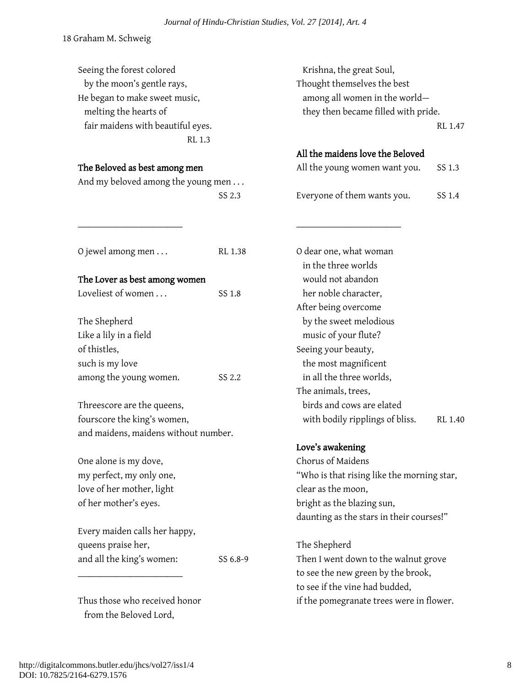Seeing the forest colored by the moon's gentle rays, He began to make sweet music, melting the hearts of fair maidens with beautiful eyes. RL 1.3 The Beloved as best among men And my beloved among the young men . . . SS 2.3 \_\_\_\_\_\_\_\_\_\_\_\_\_\_\_\_\_\_\_\_\_\_\_\_\_\_\_\_ O jewel among men . . . RL 1.38 The Lover as best among women Loveliest of women . . . SS 1.8 The Shepherd Like a lily in a field of thistles, such is my love among the young women. SS 2.2 Threescore are the queens, fourscore the king's women, and maidens, maidens without number. One alone is my dove, my perfect, my only one, love of her mother, light of her mother's eyes. Every maiden calls her happy, queens praise her, and all the king's women: SS 6.8-9 \_\_\_\_\_\_\_\_\_\_\_\_\_\_\_\_\_\_\_\_\_\_\_\_\_\_\_\_ Thus those who received honor from the Beloved Lord, Krishna, the great Soul, Thought themselves the best among all women in the world they then became filled with pride. RL 1.47 All the maidens love the Beloved All the young women want you. SS 1.3 Everyone of them wants you. SS 1.4 \_\_\_\_\_\_\_\_\_\_\_\_\_\_\_\_\_\_\_\_\_\_\_\_\_\_\_\_ O dear one, what woman in the three worlds would not abandon her noble character, After being overcome by the sweet melodious music of your flute? Seeing your beauty, the most magnificent in all the three worlds, The animals, trees, birds and cows are elated with bodily ripplings of bliss. RL 1.40 Love's awakening Chorus of Maidens "Who is that rising like the morning star, clear as the moon, bright as the blazing sun, daunting as the stars in their courses!" The Shepherd Then I went down to the walnut grove to see the new green by the brook, to see if the vine had budded, if the pomegranate trees were in flower.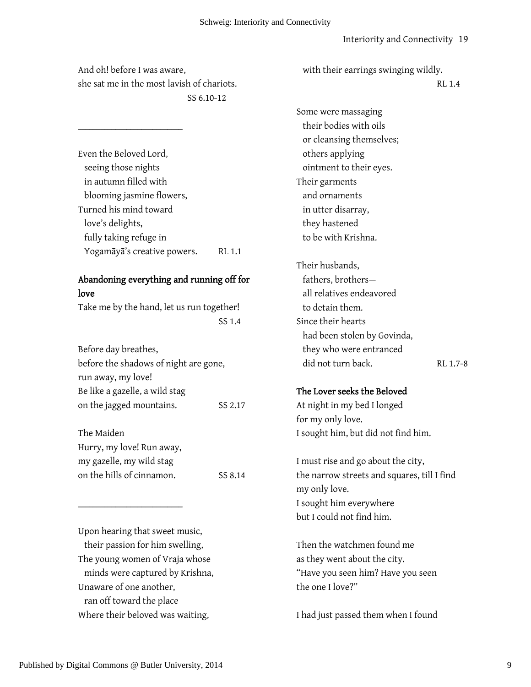And oh! before I was aware, she sat me in the most lavish of chariots. SS 6.10-12

\_\_\_\_\_\_\_\_\_\_\_\_\_\_\_\_\_\_\_\_\_\_\_\_\_\_\_\_

Even the Beloved Lord, seeing those nights in autumn filled with blooming jasmine flowers, Turned his mind toward love's delights, fully taking refuge in Yogamāyā's creative powers. RL 1.1

### Abandoning everything and running off for love

Take me by the hand, let us run together! SS 1.4

| Before day breathes,                  |         |
|---------------------------------------|---------|
| before the shadows of night are gone, |         |
| run away, my love!                    |         |
| Be like a gazelle, a wild stag        |         |
| on the jagged mountains.              | SS 2.17 |
|                                       |         |

The Maiden Hurry, my love! Run away, my gazelle, my wild stag on the hills of cinnamon. SS 8.14

Upon hearing that sweet music, their passion for him swelling, The young women of Vraja whose minds were captured by Krishna, Unaware of one another, ran off toward the place Where their beloved was waiting,

 $\_$ 

with their earrings swinging wildly.

RL 1.4

Some were massaging their bodies with oils or cleansing themselves; others applying ointment to their eyes. Their garments and ornaments in utter disarray, they hastened to be with Krishna. Their husbands, fathers, brothers all relatives endeavored to detain them. Since their hearts had been stolen by Govinda, they who were entranced did not turn back. RL 1.7-8 The Lover seeks the Beloved

At night in my bed I longed for my only love. I sought him, but did not find him.

I must rise and go about the city, the narrow streets and squares, till I find my only love. I sought him everywhere but I could not find him.

Then the watchmen found me as they went about the city. "Have you seen him? Have you seen the one I love?"

I had just passed them when I found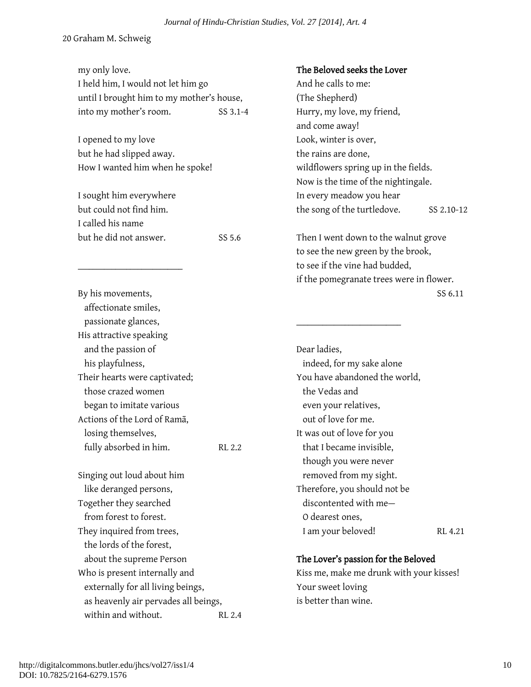| my only love.<br>I held him, I would not let him go |          | The Beloved seeks the Lover<br>And he calls to me: |            |
|-----------------------------------------------------|----------|----------------------------------------------------|------------|
| until I brought him to my mother's house,           |          | (The Shepherd)                                     |            |
| into my mother's room.                              | SS 3.1-4 | Hurry, my love, my friend,                         |            |
|                                                     |          | and come away!                                     |            |
| I opened to my love                                 |          | Look, winter is over,                              |            |
| but he had slipped away.                            |          | the rains are done,                                |            |
| How I wanted him when he spoke!                     |          | wildflowers spring up in the fields.               |            |
|                                                     |          | Now is the time of the nightingale.                |            |
| I sought him everywhere                             |          | In every meadow you hear                           |            |
| but could not find him.                             |          | the song of the turtledove.                        | SS 2.10-12 |
| I called his name                                   |          |                                                    |            |
| but he did not answer.                              | SS 5.6   | Then I went down to the walnut grove               |            |
|                                                     |          | to see the new green by the brook,                 |            |
|                                                     |          | to see if the vine had budded,                     |            |
|                                                     |          | if the pomegranate trees were in flower.           |            |
| By his movements,                                   |          |                                                    | SS 6.11    |
| affectionate smiles,                                |          |                                                    |            |
| passionate glances,                                 |          |                                                    |            |
| His attractive speaking                             |          |                                                    |            |
| and the passion of                                  |          | Dear ladies,                                       |            |
| his playfulness,                                    |          | indeed, for my sake alone                          |            |
| Their hearts were captivated;                       |          | You have abandoned the world,                      |            |
| those crazed women                                  |          | the Vedas and                                      |            |
| began to imitate various                            |          | even your relatives,                               |            |
| Actions of the Lord of Rama,                        |          | out of love for me.                                |            |
| losing themselves,                                  |          | It was out of love for you                         |            |
| fully absorbed in him.                              | RL 2.2   | that I became invisible,                           |            |
|                                                     |          | though you were never                              |            |
| Singing out loud about him                          |          | removed from my sight.                             |            |
| like deranged persons,                              |          | Therefore, you should not be                       |            |
| Together they searched                              |          | discontented with me-                              |            |
| from forest to forest.                              |          | O dearest ones,                                    |            |
| They inquired from trees,                           |          | I am your beloved!                                 | RL 4.21    |
| the lords of the forest,                            |          |                                                    |            |
| about the supreme Person                            |          | The Lover's passion for the Beloved                |            |
| Who is present internally and                       |          | Kiss me, make me drunk with your kisses!           |            |
| externally for all living beings,                   |          | Your sweet loving                                  |            |
| as heavenly air pervades all beings,                |          | is better than wine.                               |            |
| within and without.                                 | RL 2.4   |                                                    |            |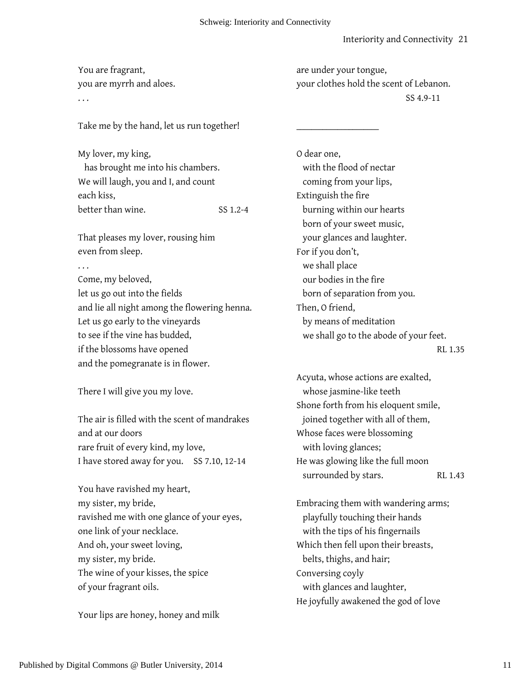#### You are fragrant, you are myrrh and aloes. . . . Take me by the hand, let us run together! My lover, my king, has brought me into his chambers. We will laugh, you and I, and count each kiss, better than wine. SS 1.2-4 That pleases my lover, rousing him even from sleep. . . . Come, my beloved, let us go out into the fields and lie all night among the flowering henna. Let us go early to the vineyards to see if the vine has budded, if the blossoms have opened and the pomegranate is in flower. There I will give you my love. The air is filled with the scent of mandrakes and at our doors rare fruit of every kind, my love, I have stored away for you. SS 7.10, 12-14 You have ravished my heart, my sister, my bride, ravished me with one glance of your eyes, one link of your necklace. And oh, your sweet loving, my sister, my bride. The wine of your kisses, the spice of your fragrant oils. Your lips are honey, honey and milk are under your tongue, your clothes hold the scent of Lebanon. SS 4.9-11  $\overline{\phantom{a}}$  , where  $\overline{\phantom{a}}$ O dear one, with the flood of nectar coming from your lips, Extinguish the fire burning within our hearts born of your sweet music, your glances and laughter. For if you don't, we shall place our bodies in the fire born of separation from you. Then, O friend, by means of meditation we shall go to the abode of your feet. RL 1.35 Acyuta, whose actions are exalted, whose jasmine-like teeth Shone forth from his eloquent smile, joined together with all of them, Whose faces were blossoming with loving glances; He was glowing like the full moon surrounded by stars. RL 1.43 Embracing them with wandering arms; playfully touching their hands with the tips of his fingernails Which then fell upon their breasts, belts, thighs, and hair; Conversing coyly with glances and laughter, He joyfully awakened the god of love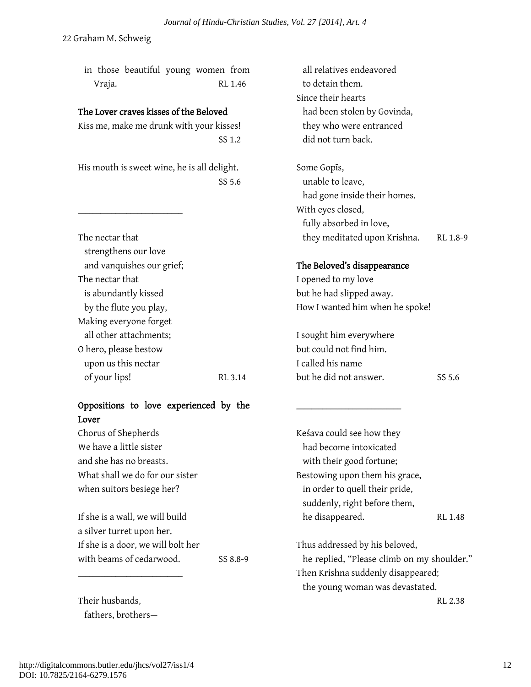in those beautiful young women from Vraja. RL 1.46

#### The Lover craves kisses of the Beloved

Kiss me, make me drunk with your kisses! SS 1.2

His mouth is sweet wine, he is all delight. SS 5.6

\_\_\_\_\_\_\_\_\_\_\_\_\_\_\_\_\_\_\_\_\_\_\_\_\_\_\_\_

| The nectar that           |         |
|---------------------------|---------|
| strengthens our love      |         |
| and vanquishes our grief; |         |
| The nectar that           |         |
| is abundantly kissed      |         |
| by the flute you play,    |         |
| Making everyone forget    |         |
| all other attachments;    |         |
| O hero, please bestow     |         |
| upon us this nectar       |         |
| of your lips!             | RL 3.14 |

### Oppositions to love experienced by the Lover

Chorus of Shepherds We have a little sister and she has no breasts. What shall we do for our sister when suitors besiege her?

If she is a wall, we will build a silver turret upon her. If she is a door, we will bolt her with beams of cedarwood. SS 8.8-9

Their husbands, fathers, brothers—

\_\_\_\_\_\_\_\_\_\_\_\_\_\_\_\_\_\_\_\_\_\_\_\_\_\_\_\_

 all relatives endeavored to detain them. Since their hearts had been stolen by Govinda, they who were entranced did not turn back.

Some Gopīs, unable to leave, had gone inside their homes. With eyes closed, fully absorbed in love, they meditated upon Krishna. RL 1.8-9

#### The Beloved's disappearance

I opened to my love but he had slipped away. How I wanted him when he spoke!

I sought him everywhere but could not find him. I called his name but he did not answer. SS 5.6

\_\_\_\_\_\_\_\_\_\_\_\_\_\_\_\_\_\_\_\_\_\_\_\_\_\_\_\_

Keśava could see how they had become intoxicated with their good fortune; Bestowing upon them his grace, in order to quell their pride, suddenly, right before them, he disappeared. RL 1.48

Thus addressed by his beloved, he replied, "Please climb on my shoulder." Then Krishna suddenly disappeared; the young woman was devastated.

RL 2.38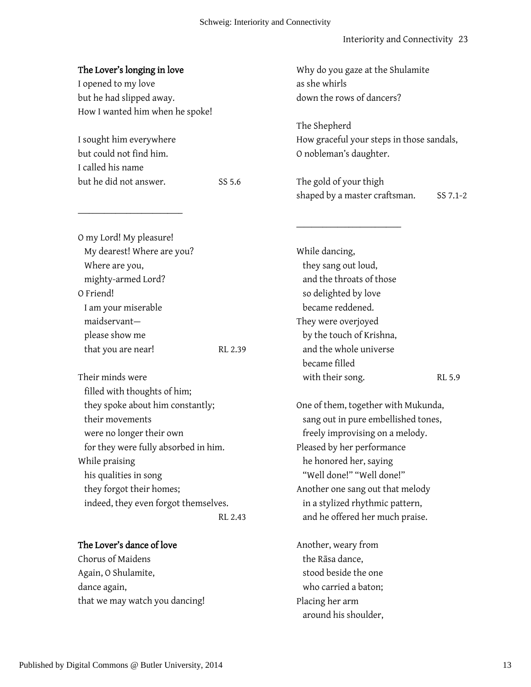#### Schweig: Interiority and Connectivity

#### Interiority and Connectivity 23

| The Lover's longing in love<br>I opened to my love<br>but he had slipped away.                                                                                                                                                                                                    |         | Why do you gaze at the Shulamite<br>as she whirls<br>down the rows of dancers?                                                                                                                                                                                                                               |          |
|-----------------------------------------------------------------------------------------------------------------------------------------------------------------------------------------------------------------------------------------------------------------------------------|---------|--------------------------------------------------------------------------------------------------------------------------------------------------------------------------------------------------------------------------------------------------------------------------------------------------------------|----------|
| How I wanted him when he spoke!<br>I sought him everywhere<br>but could not find him.<br>I called his name<br>but he did not answer.                                                                                                                                              | SS 5.6  | The Shepherd<br>How graceful your steps in those sandals,<br>O nobleman's daughter.<br>The gold of your thigh                                                                                                                                                                                                |          |
|                                                                                                                                                                                                                                                                                   |         | shaped by a master craftsman.                                                                                                                                                                                                                                                                                | SS 7.1-2 |
| O my Lord! My pleasure!<br>My dearest! Where are you?<br>Where are you,<br>mighty-armed Lord?<br>O Friend!<br>I am your miserable<br>maidservant-<br>please show me<br>that you are near!<br>Their minds were                                                                     | RL 2.39 | While dancing,<br>they sang out loud,<br>and the throats of those<br>so delighted by love<br>became reddened.<br>They were overjoyed<br>by the touch of Krishna,<br>and the whole universe<br>became filled<br>with their song.                                                                              | RL 5.9   |
| filled with thoughts of him;<br>they spoke about him constantly;<br>their movements<br>were no longer their own<br>for they were fully absorbed in him.<br>While praising<br>his qualities in song<br>they forgot their homes;<br>indeed, they even forgot themselves.<br>RL 2.43 |         | One of them, together with Mukunda,<br>sang out in pure embellished tones,<br>freely improvising on a melody.<br>Pleased by her performance<br>he honored her, saying<br>"Well done!" "Well done!"<br>Another one sang out that melody<br>in a stylized rhythmic pattern,<br>and he offered her much praise. |          |
| The Lover's dance of love<br>Chorus of Maidens<br>Again, O Shulamite,<br>dance again,<br>that we may watch you dancing!                                                                                                                                                           |         | Another, weary from<br>the Rāsa dance,<br>stood beside the one<br>who carried a baton;<br>Placing her arm<br>around his shoulder,                                                                                                                                                                            |          |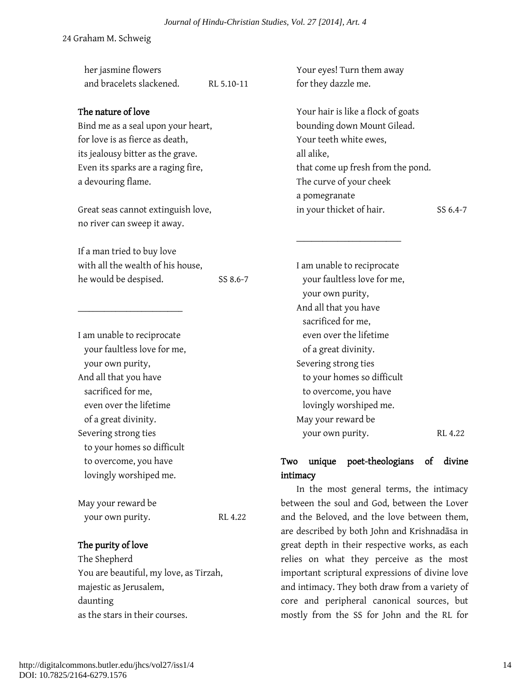| her jasmine flowers                    |            | Your eyes! Turn them away                       |
|----------------------------------------|------------|-------------------------------------------------|
| and bracelets slackened.               | RL 5.10-11 | for they dazzle me.                             |
|                                        |            |                                                 |
| The nature of love                     |            | Your hair is like a flock of goats              |
| Bind me as a seal upon your heart,     |            | bounding down Mount Gilead.                     |
| for love is as fierce as death,        |            | Your teeth white ewes,                          |
| its jealousy bitter as the grave.      |            | all alike,                                      |
| Even its sparks are a raging fire,     |            | that come up fresh from the pond.               |
| a devouring flame.                     |            | The curve of your cheek                         |
|                                        |            | a pomegranate                                   |
| Great seas cannot extinguish love,     |            | in your thicket of hair.<br>SS 6.4-7            |
| no river can sweep it away.            |            |                                                 |
| If a man tried to buy love             |            |                                                 |
| with all the wealth of his house,      |            | I am unable to reciprocate                      |
| he would be despised.                  | SS 8.6-7   | your faultless love for me,                     |
|                                        |            | your own purity,                                |
|                                        |            | And all that you have                           |
|                                        |            | sacrificed for me,                              |
| I am unable to reciprocate             |            | even over the lifetime                          |
| your faultless love for me,            |            | of a great divinity.                            |
| your own purity,                       |            | Severing strong ties                            |
| And all that you have                  |            | to your homes so difficult                      |
| sacrificed for me,                     |            | to overcome, you have                           |
| even over the lifetime                 |            | lovingly worshiped me.                          |
| of a great divinity.                   |            | May your reward be                              |
| Severing strong ties                   |            | your own purity.<br>RL 4.22                     |
| to your homes so difficult             |            |                                                 |
| to overcome, you have                  |            | unique poet-theologians of<br>divine<br>Two     |
| lovingly worshiped me.                 |            | intimacy                                        |
|                                        |            | In the most general terms, the intimacy         |
| May your reward be                     |            | between the soul and God, between the Lover     |
| your own purity.                       | RL 4.22    | and the Beloved, and the love between them,     |
|                                        |            | are described by both John and Krishnadāsa in   |
| The purity of love                     |            | great depth in their respective works, as each  |
| The Shepherd                           |            | relies on what they perceive as the most        |
| You are beautiful, my love, as Tirzah, |            | important scriptural expressions of divine love |
| majestic as Jerusalem,                 |            | and intimacy. They both draw from a variety of  |
| daunting                               |            | core and peripheral canonical sources, but      |
| as the stars in their courses.         |            | mostly from the SS for John and the RL for      |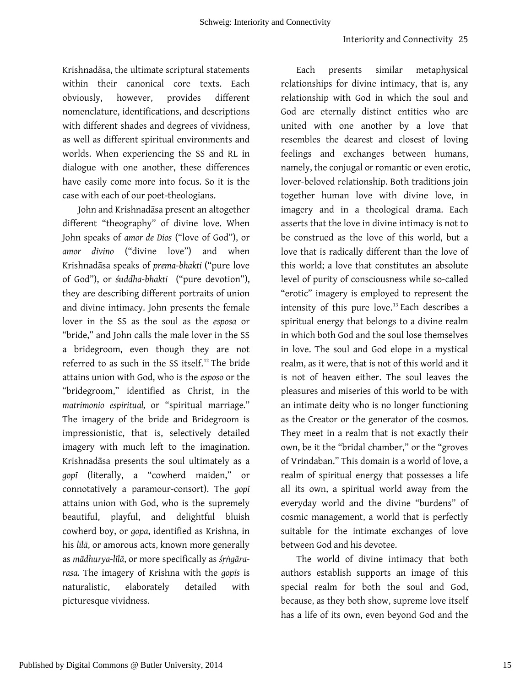Krishnadāsa, the ultimate scriptural statements within their canonical core texts. Each obviously, however, provides different nomenclature, identifications, and descriptions with different shades and degrees of vividness, as well as different spiritual environments and worlds. When experiencing the SS and RL in dialogue with one another, these differences have easily come more into focus. So it is the case with each of our poet-theologians.

John and Krishnadāsa present an altogether different "theography" of divine love. When John speaks of *amor de Dios* ("love of God"), or *amor divino* ("divine love") and when Krishnadāsa speaks of *prema-bhakti* ("pure love of God"), or *śuddha-bhakti* ("pure devotion"), they are describing different portraits of union and divine intimacy. John presents the female lover in the SS as the soul as the *esposa* or "bride," and John calls the male lover in the SS a bridegroom, even though they are not referred to as such in the SS itself. [12](#page-29-7) The bride attains union with God, who is the *esposo* or the "bridegroom," identified as Christ, in the *matrimonio espiritual,* or "spiritual marriage*.*" The imagery of the bride and Bridegroom is impressionistic, that is, selectively detailed imagery with much left to the imagination. Krishnadāsa presents the soul ultimately as a *gopī* (literally, a "cowherd maiden," or connotatively a paramour-consort). The *gopī* attains union with God, who is the supremely beautiful, playful, and delightful bluish cowherd boy, or *gopa*, identified as Krishna, in his *līlā*, or amorous acts, known more generally as *mādhurya-līlā*, or more specifically as *śṛṅgārarasa.* The imagery of Krishna with the *gopīs* is naturalistic, elaborately detailed with picturesque vividness.

Each presents similar metaphysical relationships for divine intimacy, that is, any relationship with God in which the soul and God are eternally distinct entities who are united with one another by a love that resembles the dearest and closest of loving feelings and exchanges between humans, namely, the conjugal or romantic or even erotic, lover-beloved relationship. Both traditions join together human love with divine love, in imagery and in a theological drama. Each asserts that the love in divine intimacy is not to be construed as the love of this world, but a love that is radically different than the love of this world; a love that constitutes an absolute level of purity of consciousness while so-called "erotic" imagery is employed to represent the intensity of this pure love.<sup>[13](#page-29-8)</sup> Each describes a spiritual energy that belongs to a divine realm in which both God and the soul lose themselves in love. The soul and God elope in a mystical realm, as it were, that is not of this world and it is not of heaven either. The soul leaves the pleasures and miseries of this world to be with an intimate deity who is no longer functioning as the Creator or the generator of the cosmos. They meet in a realm that is not exactly their own, be it the "bridal chamber," or the "groves of Vrindaban." This domain is a world of love, a realm of spiritual energy that possesses a life all its own, a spiritual world away from the everyday world and the divine "burdens" of cosmic management, a world that is perfectly suitable for the intimate exchanges of love between God and his devotee.

The world of divine intimacy that both authors establish supports an image of this special realm for both the soul and God, because, as they both show, supreme love itself has a life of its own, even beyond God and the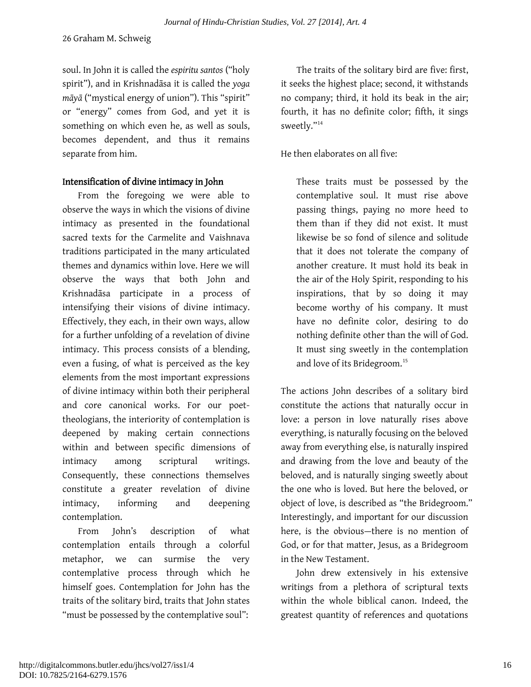soul. In John it is called the *espiritu santos* ("holy spirit"), and in Krishnadāsa it is called the *yoga māyā* ("mystical energy of union"). This "spirit" or "energy" comes from God, and yet it is something on which even he, as well as souls, becomes dependent, and thus it remains separate from him.

#### Intensification of divine intimacy in John

From the foregoing we were able to observe the ways in which the visions of divine intimacy as presented in the foundational sacred texts for the Carmelite and Vaishnava traditions participated in the many articulated themes and dynamics within love. Here we will observe the ways that both John and Krishnadāsa participate in a process of intensifying their visions of divine intimacy. Effectively, they each, in their own ways, allow for a further unfolding of a revelation of divine intimacy. This process consists of a blending, even a fusing, of what is perceived as the key elements from the most important expressions of divine intimacy within both their peripheral and core canonical works. For our poettheologians, the interiority of contemplation is deepened by making certain connections within and between specific dimensions of intimacy among scriptural writings. Consequently, these connections themselves constitute a greater revelation of divine intimacy, informing and deepening contemplation.

From John's description of what contemplation entails through a colorful metaphor, we can surmise the very contemplative process through which he himself goes. Contemplation for John has the traits of the solitary bird, traits that John states "must be possessed by the contemplative soul":

The traits of the solitary bird are five: first, it seeks the highest place; second, it withstands no company; third, it hold its beak in the air; fourth, it has no definite color; fifth, it sings sweetly."[14](#page-29-9)

He then elaborates on all five:

These traits must be possessed by the contemplative soul. It must rise above passing things, paying no more heed to them than if they did not exist. It must likewise be so fond of silence and solitude that it does not tolerate the company of another creature. It must hold its beak in the air of the Holy Spirit, responding to his inspirations, that by so doing it may become worthy of his company. It must have no definite color, desiring to do nothing definite other than the will of God. It must sing sweetly in the contemplation and love of its Bridegroom.<sup>[15](#page-29-10)</sup>

The actions John describes of a solitary bird constitute the actions that naturally occur in love: a person in love naturally rises above everything, is naturally focusing on the beloved away from everything else, is naturally inspired and drawing from the love and beauty of the beloved, and is naturally singing sweetly about the one who is loved. But here the beloved, or object of love, is described as "the Bridegroom." Interestingly, and important for our discussion here, is the obvious—there is no mention of God, or for that matter, Jesus, as a Bridegroom in the New Testament.

John drew extensively in his extensive writings from a plethora of scriptural texts within the whole biblical canon. Indeed, the greatest quantity of references and quotations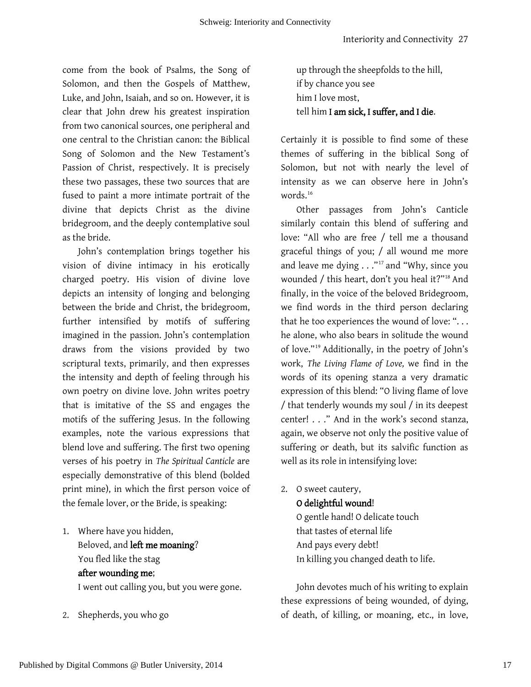come from the book of Psalms, the Song of Solomon, and then the Gospels of Matthew, Luke, and John, Isaiah, and so on. However, it is clear that John drew his greatest inspiration from two canonical sources, one peripheral and one central to the Christian canon: the Biblical Song of Solomon and the New Testament's Passion of Christ, respectively. It is precisely these two passages, these two sources that are fused to paint a more intimate portrait of the divine that depicts Christ as the divine bridegroom, and the deeply contemplative soul as the bride.

John's contemplation brings together his vision of divine intimacy in his erotically charged poetry. His vision of divine love depicts an intensity of longing and belonging between the bride and Christ, the bridegroom, further intensified by motifs of suffering imagined in the passion. John's contemplation draws from the visions provided by two scriptural texts, primarily, and then expresses the intensity and depth of feeling through his own poetry on divine love. John writes poetry that is imitative of the SS and engages the motifs of the suffering Jesus. In the following examples, note the various expressions that blend love and suffering. The first two opening verses of his poetry in *The Spiritual Canticle* are especially demonstrative of this blend (bolded print mine), in which the first person voice of the female lover, or the Bride, is speaking:

- 1. Where have you hidden, Beloved, and left me moaning? You fled like the stag after wounding me; I went out calling you, but you were gone.
- 2. Shepherds, you who go

up through the sheepfolds to the hill, if by chance you see him I love most, tell him I am sick, I suffer, and I die.

Certainly it is possible to find some of these themes of suffering in the biblical Song of Solomon, but not with nearly the level of intensity as we can observe here in John's words.<sup>[16](#page-29-11)</sup>

Other passages from John's Canticle similarly contain this blend of suffering and love: "All who are free / tell me a thousand graceful things of you; / all wound me more and leave me dying . . ."<sup>[17](#page-29-12)</sup> and "Why, since you wounded / this heart, don't you heal it?"[18](#page-29-13) And finally, in the voice of the beloved Bridegroom, we find words in the third person declaring that he too experiences the wound of love: "... he alone, who also bears in solitude the wound of love."[19](#page-29-14) Additionally, in the poetry of John's work, *The Living Flame of Love,* we find in the words of its opening stanza a very dramatic expression of this blend: "O living flame of love / that tenderly wounds my soul / in its deepest center! . . ." And in the work's second stanza, again, we observe not only the positive value of suffering or death, but its salvific function as well as its role in intensifying love:

2. O sweet cautery,

O delightful wound!

O gentle hand! O delicate touch that tastes of eternal life And pays every debt! In killing you changed death to life.

John devotes much of his writing to explain these expressions of being wounded, of dying, of death, of killing, or moaning, etc., in love,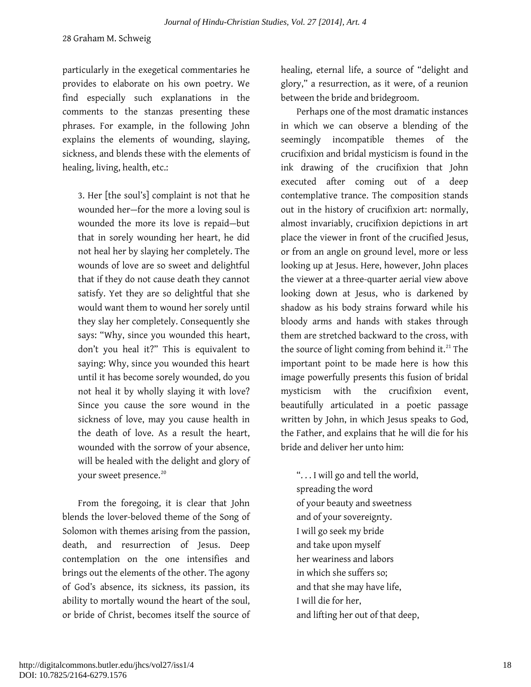particularly in the exegetical commentaries he provides to elaborate on his own poetry. We find especially such explanations in the comments to the stanzas presenting these phrases. For example, in the following John explains the elements of wounding, slaying, sickness, and blends these with the elements of healing, living, health, etc.:

3. Her [the soul's] complaint is not that he wounded her—for the more a loving soul is wounded the more its love is repaid—but that in sorely wounding her heart, he did not heal her by slaying her completely. The wounds of love are so sweet and delightful that if they do not cause death they cannot satisfy. Yet they are so delightful that she would want them to wound her sorely until they slay her completely. Consequently she says: "Why, since you wounded this heart, don't you heal it?" This is equivalent to saying: Why, since you wounded this heart until it has become sorely wounded, do you not heal it by wholly slaying it with love? Since you cause the sore wound in the sickness of love, may you cause health in the death of love. As a result the heart, wounded with the sorrow of your absence, will be healed with the delight and glory of your sweet presence.<sup>[20](#page-29-15)</sup>

From the foregoing, it is clear that John blends the lover-beloved theme of the Song of Solomon with themes arising from the passion, death, and resurrection of Jesus. Deep contemplation on the one intensifies and brings out the elements of the other. The agony of God's absence, its sickness, its passion, its ability to mortally wound the heart of the soul, or bride of Christ, becomes itself the source of healing, eternal life, a source of "delight and glory," a resurrection, as it were, of a reunion between the bride and bridegroom.

Perhaps one of the most dramatic instances in which we can observe a blending of the seemingly incompatible themes of the crucifixion and bridal mysticism is found in the ink drawing of the crucifixion that John executed after coming out of a deep contemplative trance. The composition stands out in the history of crucifixion art: normally, almost invariably, crucifixion depictions in art place the viewer in front of the crucified Jesus, or from an angle on ground level, more or less looking up at Jesus. Here, however, John places the viewer at a three-quarter aerial view above looking down at Jesus, who is darkened by shadow as his body strains forward while his bloody arms and hands with stakes through them are stretched backward to the cross, with the source of light coming from behind it.<sup>[21](#page-29-16)</sup> The important point to be made here is how this image powerfully presents this fusion of bridal mysticism with the crucifixion event, beautifully articulated in a poetic passage written by John, in which Jesus speaks to God, the Father, and explains that he will die for his bride and deliver her unto him:

". . . I will go and tell the world, spreading the word of your beauty and sweetness and of your sovereignty. I will go seek my bride and take upon myself her weariness and labors in which she suffers so; and that she may have life, I will die for her, and lifting her out of that deep,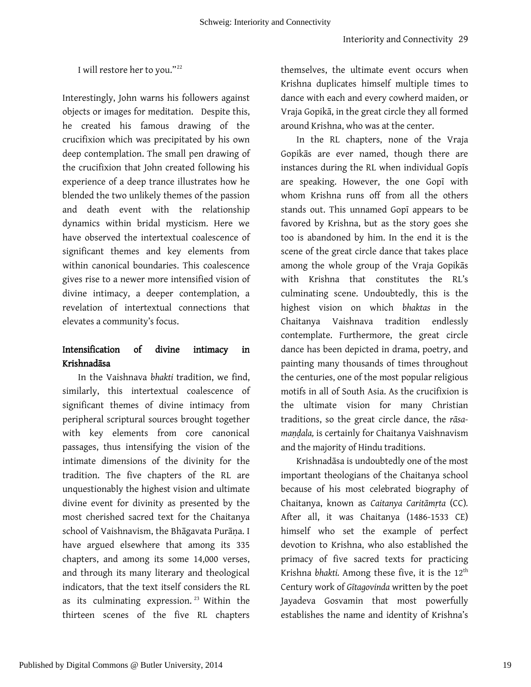#### I will restore her to you."<sup>[22](#page-29-17)</sup>

Interestingly, John warns his followers against objects or images for meditation. Despite this, he created his famous drawing of the crucifixion which was precipitated by his own deep contemplation. The small pen drawing of the crucifixion that John created following his experience of a deep trance illustrates how he blended the two unlikely themes of the passion and death event with the relationship dynamics within bridal mysticism. Here we have observed the intertextual coalescence of significant themes and key elements from within canonical boundaries. This coalescence gives rise to a newer more intensified vision of divine intimacy, a deeper contemplation, a revelation of intertextual connections that elevates a community's focus.

### Intensification of divine intimacy in Krishnadāsa

In the Vaishnava *bhakti* tradition, we find, similarly, this intertextual coalescence of significant themes of divine intimacy from peripheral scriptural sources brought together with key elements from core canonical passages, thus intensifying the vision of the intimate dimensions of the divinity for the tradition. The five chapters of the RL are unquestionably the highest vision and ultimate divine event for divinity as presented by the most cherished sacred text for the Chaitanya school of Vaishnavism, the Bhāgavata Purāṇa. I have argued elsewhere that among its 335 chapters, and among its some 14,000 verses, and through its many literary and theological indicators, that the text itself considers the RL as its culminating expression. $23$  Within the thirteen scenes of the five RL chapters

themselves, the ultimate event occurs when Krishna duplicates himself multiple times to dance with each and every cowherd maiden, or Vraja Gopikā, in the great circle they all formed around Krishna, who was at the center.

In the RL chapters, none of the Vraja Gopikās are ever named, though there are instances during the RL when individual Gopīs are speaking. However, the one Gopī with whom Krishna runs off from all the others stands out. This unnamed Gopī appears to be favored by Krishna, but as the story goes she too is abandoned by him. In the end it is the scene of the great circle dance that takes place among the whole group of the Vraja Gopikās with Krishna that constitutes the RL's culminating scene. Undoubtedly, this is the highest vision on which *bhaktas* in the Chaitanya Vaishnava tradition endlessly contemplate. Furthermore, the great circle dance has been depicted in drama, poetry, and painting many thousands of times throughout the centuries, one of the most popular religious motifs in all of South Asia. As the crucifixion is the ultimate vision for many Christian traditions, so the great circle dance, the *rāsamaṇḍala,* is certainly for Chaitanya Vaishnavism and the majority of Hindu traditions.

Krishnadāsa is undoubtedly one of the most important theologians of the Chaitanya school because of his most celebrated biography of Chaitanya, known as *Caitanya Caritāmṛta* (CC)*.*  After all, it was Chaitanya (1486-1533 CE) himself who set the example of perfect devotion to Krishna, who also established the primacy of five sacred texts for practicing Krishna *bhakti*. Among these five, it is the 12<sup>th</sup> Century work of *Gītagovinda* written by the poet Jayadeva Gosvamin that most powerfully establishes the name and identity of Krishna's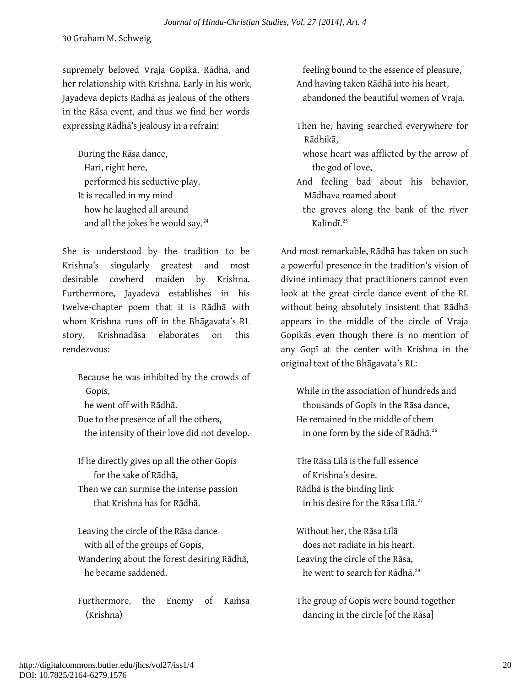supremely beloved Vraja Gopikā, Rādhā, and her relationship with Krishna*.* Early in his work, Jayadeva depicts Rādhā as jealous of the others in the Rāsa event, and thus we find her words expressing Rādhā's jealousy in a refrain:

During the Rāsa dance, Hari, right here, performed his seductive play. It is recalled in my mind how he laughed all around and all the jokes he would say.<sup>[24](#page-29-19)</sup>

She is understood by the tradition to be Krishna's singularly greatest and most desirable cowherd maiden by Krishna. Furthermore, Jayadeva establishes in his twelve-chapter poem that it is Rādhā with whom Krishna runs off in the Bhāgavata's RL story. Krishnadāsa elaborates on this rendezvous:

Because he was inhibited by the crowds of Gopīs, he went off with Rādhā. Due to the presence of all the others, the intensity of their love did not develop.

If he directly gives up all the other Gopīs for the sake of Rādhā,

Then we can surmise the intense passion that Krishna has for Rādhā.

Leaving the circle of the Rāsa dance with all of the groups of Gopīs, Wandering about the forest desiring Rādhā, he became saddened.

Furthermore, the Enemy of Kamsa (Krishna)

 feeling bound to the essence of pleasure, And having taken Rādhā into his heart, abandoned the beautiful women of Vraja.

- Then he, having searched everywhere for Rādhikā,
	- whose heart was afflicted by the arrow of the god of love,
- And feeling bad about his behavior, Mādhava roamed about
	- the groves along the bank of the river Kalindī.[25](#page-29-20)

And most remarkable, Rādhā has taken on such a powerful presence in the tradition's vision of divine intimacy that practitioners cannot even look at the great circle dance event of the RL without being absolutely insistent that Rādhā appears in the middle of the circle of Vraja Gopikās even though there is no mention of any Gopī at the center with Krishna in the original text of the Bhāgavata's RL:

While in the association of hundreds and thousands of Gopīs in the Rāsa dance, He remained in the middle of them in one form by the side of Rādhā.<sup>[26](#page-29-12)</sup>

The Rāsa Līlā is the full essence of Krishna's desire. Rādhā is the binding link in his desire for the Rāsa Līlā.<sup>[27](#page-29-13)</sup>

Without her, the Rāsa Līlā does not radiate in his heart. Leaving the circle of the Rāsa, he went to search for Rādhā.<sup>[28](#page-29-14)</sup>

The group of Gopīs were bound together dancing in the circle [of the Rāsa]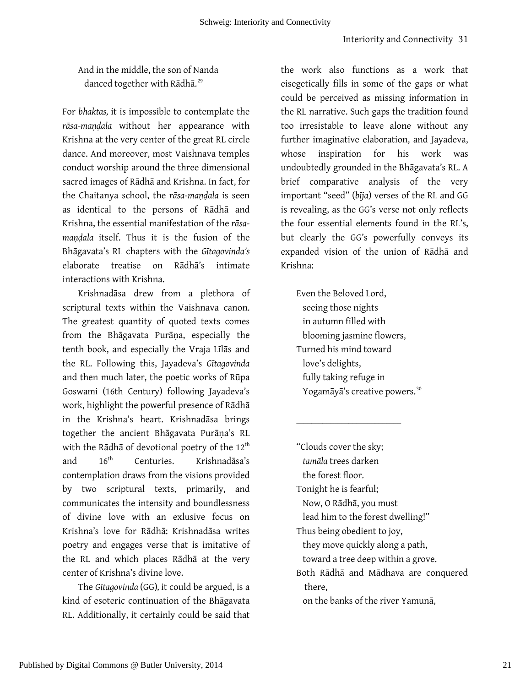And in the middle, the son of Nanda danced together with Rādhā.<sup>[29](#page-29-15)</sup>

For *bhaktas,* it is impossible to contemplate the *rāsa-maṇḍala* without her appearance with Krishna at the very center of the great RL circle dance. And moreover, most Vaishnava temples conduct worship around the three dimensional sacred images of Rādhā and Krishna. In fact, for the Chaitanya school, the *rāsa-maṇḍala* is seen as identical to the persons of Rādhā and Krishna, the essential manifestation of the *rāsamaṇḍala* itself. Thus it is the fusion of the Bhāgavata's RL chapters with the *Gītagovinda's*  elaborate treatise on Rādhā's intimate interactions with Krishna.

Krishnadāsa drew from a plethora of scriptural texts within the Vaishnava canon. The greatest quantity of quoted texts comes from the Bhāgavata Purāṇa, especially the tenth book, and especially the Vraja Līlās and the RL. Following this, Jayadeva's *Gītagovinda* and then much later, the poetic works of Rūpa Goswami (16th Century) following Jayadeva's work, highlight the powerful presence of Rādhā in the Krishna's heart. Krishnadāsa brings together the ancient Bhāgavata Purāṇa's RL with the Rādhā of devotional poetry of the  $12<sup>th</sup>$ and 16th Centuries. Krishnadāsa's contemplation draws from the visions provided by two scriptural texts, primarily, and communicates the intensity and boundlessness of divine love with an exlusive focus on Krishna's love for Rādhā: Krishnadāsa writes poetry and engages verse that is imitative of the RL and which places Rādhā at the very center of Krishna's divine love.

The *Gītagovinda* (GG)*,* it could be argued, is a kind of esoteric continuation of the Bhāgavata RL. Additionally, it certainly could be said that the work also functions as a work that eisegetically fills in some of the gaps or what could be perceived as missing information in the RL narrative. Such gaps the tradition found too irresistable to leave alone without any further imaginative elaboration, and Jayadeva, whose inspiration for his work was undoubtedly grounded in the Bhāgavata's RL. A brief comparative analysis of the very important "seed" (*bīja*) verses of the RL and GG is revealing, as the GG's verse not only reflects the four essential elements found in the RL's, but clearly the GG's powerfully conveys its expanded vision of the union of Rādhā and Krishna:

Even the Beloved Lord, seeing those nights in autumn filled with blooming jasmine flowers, Turned his mind toward love's delights, fully taking refuge in Yogamāyā's creative powers.[30](#page-29-21)

\_\_\_\_\_\_\_\_\_\_\_\_\_\_\_\_\_\_\_\_\_\_\_\_\_\_\_\_

"Clouds cover the sky; *tamāla* trees darken the forest floor. Tonight he is fearful; Now, O Rādhā, you must lead him to the forest dwelling!" Thus being obedient to joy, they move quickly along a path, toward a tree deep within a grove. Both Rādhā and Mādhava are conquered there, on the banks of the river Yamunā,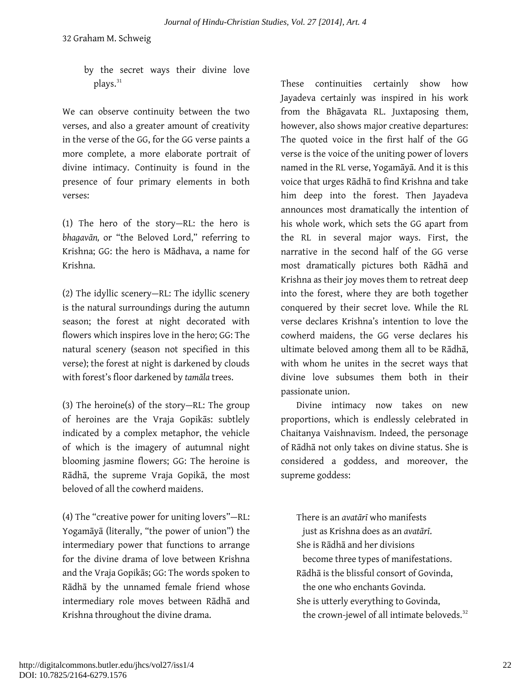by the secret ways their divine love plays.<sup>[31](#page-29-22)</sup>

We can observe continuity between the two verses, and also a greater amount of creativity in the verse of the GG, for the GG verse paints a more complete, a more elaborate portrait of divine intimacy. Continuity is found in the presence of four primary elements in both verses:

(1) The hero of the story—RL: the hero is *bhagavān,* or "the Beloved Lord," referring to Krishna; GG: the hero is Mādhava, a name for Krishna.

(2) The idyllic scenery—RL: The idyllic scenery is the natural surroundings during the autumn season; the forest at night decorated with flowers which inspires love in the hero; GG: The natural scenery (season not specified in this verse); the forest at night is darkened by clouds with forest's floor darkened by *tamāla* trees.

(3) The heroine(s) of the story—RL: The group of heroines are the Vraja Gopikās: subtlely indicated by a complex metaphor, the vehicle of which is the imagery of autumnal night blooming jasmine flowers; GG: The heroine is Rādhā, the supreme Vraja Gopikā, the most beloved of all the cowherd maidens.

(4) The "creative power for uniting lovers"—RL: Yogamāyā (literally, "the power of union") the intermediary power that functions to arrange for the divine drama of love between Krishna and the Vraja Gopikās; GG: The words spoken to Rādhā by the unnamed female friend whose intermediary role moves between Rādhā and Krishna throughout the divine drama.

These continuities certainly show how Jayadeva certainly was inspired in his work from the Bhāgavata RL. Juxtaposing them, however, also shows major creative departures: The quoted voice in the first half of the GG verse is the voice of the uniting power of lovers named in the RL verse, Yogamāyā. And it is this voice that urges Rādhā to find Krishna and take him deep into the forest. Then Jayadeva announces most dramatically the intention of his whole work, which sets the GG apart from the RL in several major ways. First, the narrative in the second half of the GG verse most dramatically pictures both Rādhā and Krishna as their joy moves them to retreat deep into the forest, where they are both together conquered by their secret love. While the RL verse declares Krishna's intention to love the cowherd maidens, the GG verse declares his ultimate beloved among them all to be Rādhā, with whom he unites in the secret ways that divine love subsumes them both in their passionate union.

Divine intimacy now takes on new proportions, which is endlessly celebrated in Chaitanya Vaishnavism. Indeed, the personage of Rādhā not only takes on divine status. She is considered a goddess, and moreover, the supreme goddess:

There is an *avatārī* who manifests just as Krishna does as an *avatārī*. She is Rādhā and her divisions become three types of manifestations. Rādhā is the blissful consort of Govinda, the one who enchants Govinda. She is utterly everything to Govinda, the crown-jewel of all intimate beloveds.<sup>[32](#page-29-23)</sup>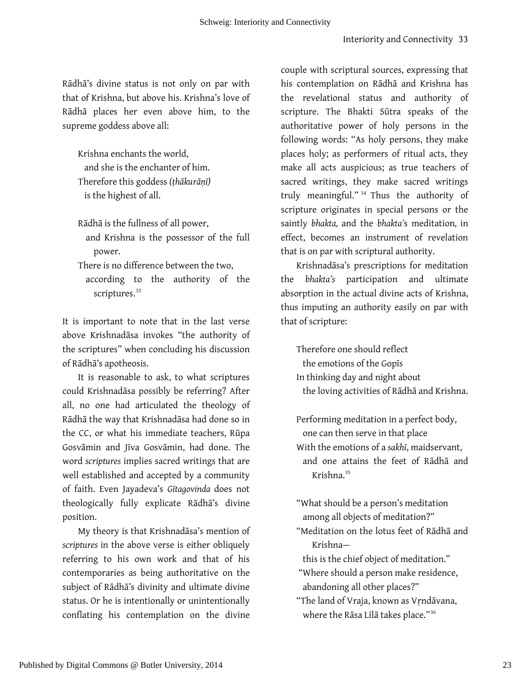Rādhā's divine status is not only on par with that of Krishna, but above his. Krishna's love of Rādhā places her even above him, to the supreme goddess above all:

Krishna enchants the world, and she is the enchanter of him. Therefore this goddess *(ṭhākurāṇī)* is the highest of all.

Rādhā is the fullness of all power,

and Krishna is the possessor of the full power.

There is no difference between the two,

according to the authority of the scriptures.<sup>[33](#page-29-24)</sup>

It is important to note that in the last verse above Krishnadāsa invokes "the authority of the scriptures" when concluding his discussion of Rādhā's apotheosis.

It is reasonable to ask, to what scriptures could Krishnadāsa possibly be referring? After all, no one had articulated the theology of Rādhā the way that Krishnadāsa had done so in the CC, or what his immediate teachers, Rūpa Gosvāmin and Jīva Gosvāmin, had done. The word *scriptures* implies sacred writings that are well established and accepted by a community of faith. Even Jayadeva's *Gītagovinda* does not theologically fully explicate Rādhā's divine position.

My theory is that Krishnadāsa's mention of *scriptures* in the above verse is either obliquely referring to his own work and that of his contemporaries as being authoritative on the subject of Rādhā's divinity and ultimate divine status. Or he is intentionally or unintentionally conflating his contemplation on the divine couple with scriptural sources, expressing that his contemplation on Rādhā and Krishna has the revelational status and authority of scripture. The Bhakti Sūtra speaks of the authoritative power of holy persons in the following words: "As holy persons, they make places holy; as performers of ritual acts, they make all acts auspicious; as true teachers of sacred writings, they make sacred writings truly meaningful." [34](#page-29-25) Thus the authority of scripture originates in special persons or the saintly *bhakta,* and the *bhakta'*s meditation*,* in effect, becomes an instrument of revelation that is on par with scriptural authority.

Krishnadāsa's prescriptions for meditation the *bhakta's* participation and ultimate absorption in the actual divine acts of Krishna, thus imputing an authority easily on par with that of scripture:

Therefore one should reflect the emotions of the Gopīs In thinking day and night about the loving activities of Rādhā and Krishna.

Performing meditation in a perfect body, one can then serve in that place With the emotions of a *sakhī*, maidservant, and one attains the feet of Rādhā and Krishna.[35](#page-29-26)

"What should be a person's meditation among all objects of meditation?" "Meditation on the lotus feet of Rādhā and

Krishna—

 this is the chief object of meditation." "Where should a person make residence, abandoning all other places?"

"The land of Vraja, known as Vṛndāvana, where the Rāsa Līlā takes place."[36](#page-29-27)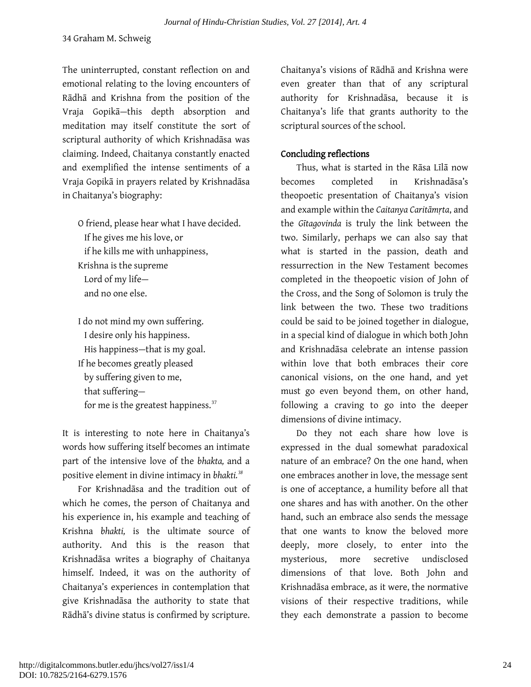The uninterrupted, constant reflection on and emotional relating to the loving encounters of Rādhā and Krishna from the position of the Vraja Gopikā—this depth absorption and meditation may itself constitute the sort of scriptural authority of which Krishnadāsa was claiming. Indeed, Chaitanya constantly enacted and exemplified the intense sentiments of a Vraja Gopikā in prayers related by Krishnadāsa in Chaitanya's biography:

O friend, please hear what I have decided. If he gives me his love, or if he kills me with unhappiness, Krishna is the supreme Lord of my life and no one else.

I do not mind my own suffering. I desire only his happiness. His happiness—that is my goal. If he becomes greatly pleased by suffering given to me, that suffering— for me is the greatest happiness.<sup>[37](#page-29-28)</sup>

It is interesting to note here in Chaitanya's words how suffering itself becomes an intimate part of the intensive love of the *bhakta,* and a positive element in divine intimacy in *bhakti.[38](#page-29-29)*

For Krishnadāsa and the tradition out of which he comes, the person of Chaitanya and his experience in, his example and teaching of Krishna *bhakti,* is the ultimate source of authority. And this is the reason that Krishnadāsa writes a biography of Chaitanya himself. Indeed, it was on the authority of Chaitanya's experiences in contemplation that give Krishnadāsa the authority to state that Rādhā's divine status is confirmed by scripture.

Chaitanya's visions of Rādhā and Krishna were even greater than that of any scriptural authority for Krishnadāsa, because it is Chaitanya's life that grants authority to the scriptural sources of the school.

#### Concluding reflections

Thus, what is started in the Rāsa Līlā now becomes completed in Krishnadāsa's theopoetic presentation of Chaitanya's vision and example within the *Caitanya Caritāmṛta*, and the *Gītagovinda* is truly the link between the two. Similarly, perhaps we can also say that what is started in the passion, death and ressurrection in the New Testament becomes completed in the theopoetic vision of John of the Cross, and the Song of Solomon is truly the link between the two. These two traditions could be said to be joined together in dialogue, in a special kind of dialogue in which both John and Krishnadāsa celebrate an intense passion within love that both embraces their core canonical visions, on the one hand, and yet must go even beyond them, on other hand, following a craving to go into the deeper dimensions of divine intimacy.

Do they not each share how love is expressed in the dual somewhat paradoxical nature of an embrace? On the one hand, when one embraces another in love, the message sent is one of acceptance, a humility before all that one shares and has with another. On the other hand, such an embrace also sends the message that one wants to know the beloved more deeply, more closely, to enter into the mysterious, more secretive undisclosed dimensions of that love. Both John and Krishnadāsa embrace, as it were, the normative visions of their respective traditions, while they each demonstrate a passion to become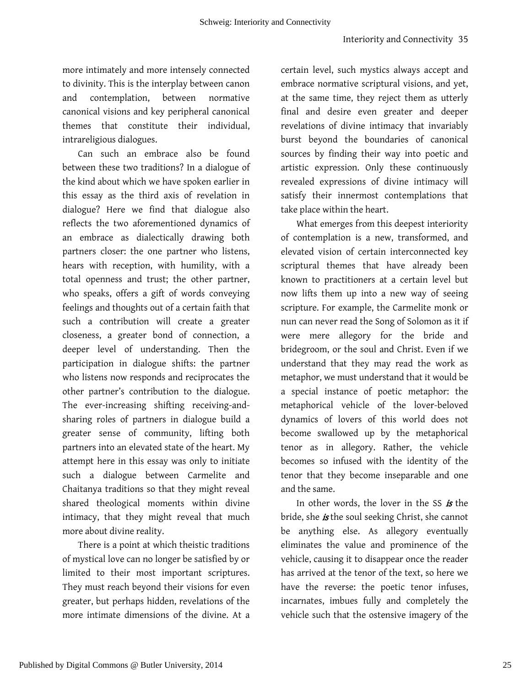more intimately and more intensely connected to divinity. This is the interplay between canon and contemplation, between normative canonical visions and key peripheral canonical themes that constitute their individual, intrareligious dialogues.

Can such an embrace also be found between these two traditions? In a dialogue of the kind about which we have spoken earlier in this essay as the third axis of revelation in dialogue? Here we find that dialogue also reflects the two aforementioned dynamics of an embrace as dialectically drawing both partners closer: the one partner who listens, hears with reception, with humility, with a total openness and trust; the other partner, who speaks, offers a gift of words conveying feelings and thoughts out of a certain faith that such a contribution will create a greater closeness, a greater bond of connection, a deeper level of understanding. Then the participation in dialogue shifts: the partner who listens now responds and reciprocates the other partner's contribution to the dialogue. The ever-increasing shifting receiving-andsharing roles of partners in dialogue build a greater sense of community, lifting both partners into an elevated state of the heart. My attempt here in this essay was only to initiate such a dialogue between Carmelite and Chaitanya traditions so that they might reveal shared theological moments within divine intimacy, that they might reveal that much more about divine reality.

There is a point at which theistic traditions of mystical love can no longer be satisfied by or limited to their most important scriptures. They must reach beyond their visions for even greater, but perhaps hidden, revelations of the more intimate dimensions of the divine. At a

certain level, such mystics always accept and embrace normative scriptural visions, and yet, at the same time, they reject them as utterly final and desire even greater and deeper revelations of divine intimacy that invariably burst beyond the boundaries of canonical sources by finding their way into poetic and artistic expression. Only these continuously revealed expressions of divine intimacy will satisfy their innermost contemplations that take place within the heart.

What emerges from this deepest interiority of contemplation is a new, transformed, and elevated vision of certain interconnected key scriptural themes that have already been known to practitioners at a certain level but now lifts them up into a new way of seeing scripture. For example, the Carmelite monk or nun can never read the Song of Solomon as it if were mere allegory for the bride and bridegroom, or the soul and Christ. Even if we understand that they may read the work as metaphor, we must understand that it would be a special instance of poetic metaphor: the metaphorical vehicle of the lover-beloved dynamics of lovers of this world does not become swallowed up by the metaphorical tenor as in allegory. Rather, the vehicle becomes so infused with the identity of the tenor that they become inseparable and one and the same.

In other words, the lover in the SS is the bride, she *is* the soul seeking Christ, she cannot be anything else. As allegory eventually eliminates the value and prominence of the vehicle, causing it to disappear once the reader has arrived at the tenor of the text, so here we have the reverse: the poetic tenor infuses, incarnates, imbues fully and completely the vehicle such that the ostensive imagery of the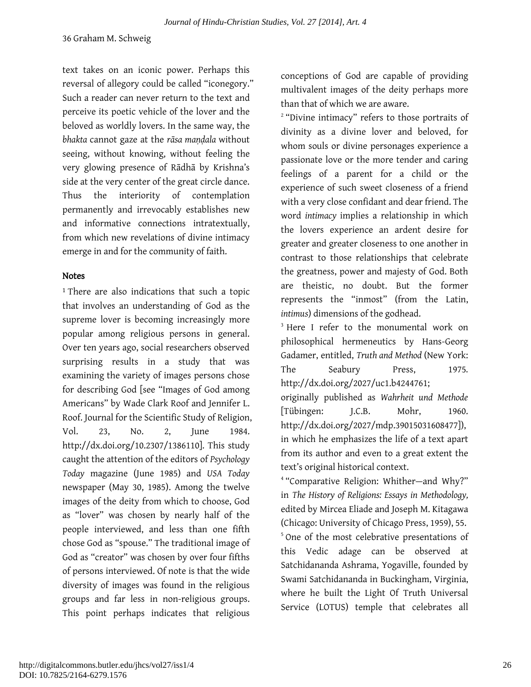text takes on an iconic power. Perhaps this reversal of allegory could be called "iconegory." Such a reader can never return to the text and perceive its poetic vehicle of the lover and the beloved as worldly lovers. In the same way, the *bhakta* cannot gaze at the *rāsa maṇḍala* without seeing, without knowing, without feeling the very glowing presence of Rādhā by Krishna's side at the very center of the great circle dance. Thus the interiority of contemplation permanently and irrevocably establishes new and informative connections intratextually, from which new revelations of divine intimacy emerge in and for the community of faith.

#### **Notes**

<span id="page-26-0"></span><sup>1</sup>There are also indications that such a topic that involves an understanding of God as the supreme lover is becoming increasingly more popular among religious persons in general. Over ten years ago, social researchers observed surprising results in a study that was examining the variety of images persons chose for describing God [see "Images of God among Americans" by Wade Clark Roof and Jennifer L. Roof. Journal for the Scientific Study of Religion, Vol. 23, No. 2, June 1984. http://dx.doi.org/10.2307/1386110]. This study caught the attention of the editors of *Psychology Today* magazine (June 1985) and *USA Today*  newspaper (May 30, 1985). Among the twelve images of the deity from which to choose, God as "lover" was chosen by nearly half of the people interviewed, and less than one fifth chose God as "spouse." The traditional image of God as "creator" was chosen by over four fifths of persons interviewed. Of note is that the wide diversity of images was found in the religious groups and far less in non-religious groups. This point perhaps indicates that religious

conceptions of God are capable of providing multivalent images of the deity perhaps more than that of which we are aware.

<sup>2</sup> "Divine intimacy" refers to those portraits of divinity as a divine lover and beloved, for whom souls or divine personages experience a passionate love or the more tender and caring feelings of a parent for a child or the experience of such sweet closeness of a friend with a very close confidant and dear friend. The word *intimacy* implies a relationship in which the lovers experience an ardent desire for greater and greater closeness to one another in contrast to those relationships that celebrate the greatness, power and majesty of God. Both are theistic, no doubt. But the former represents the "inmost" (from the Latin, *intimus*) dimensions of the godhead.

<sup>3</sup> Here I refer to the monumental work on philosophical hermeneutics by Hans-Georg Gadamer, entitled, *Truth and Method* (New York: The Seabury Press, 1975. http://dx.doi.org/2027/uc1.b4244761;

originally published as *Wahrheit und Methode*  [Tübingen: J.C.B. Mohr, 1960. http://dx.doi.org/2027/mdp.39015031608477]), in which he emphasizes the life of a text apart from its author and even to a great extent the text's original historical context.

<sup>4</sup> "Comparative Religion: Whither—and Why?" in *The History of Religions: Essays in Methodology,*  edited by Mircea Eliade and Joseph M. Kitagawa (Chicago: University of Chicago Press, 1959), 55. <sup>5</sup> One of the most celebrative presentations of this Vedic adage can be observed at Satchidananda Ashrama, Yogaville, founded by Swami Satchidananda in Buckingham, Virginia, where he built the Light Of Truth Universal

Service (LOTUS) temple that celebrates all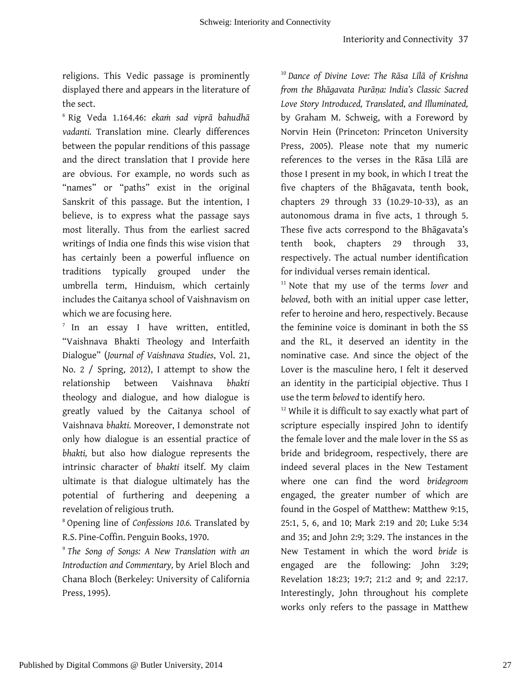religions. This Vedic passage is prominently displayed there and appears in the literature of the sect.

<span id="page-27-0"></span><sup>6</sup> Rig Veda 1.164.46: *ekaṁ sad viprā bahudhā vadanti.* Translation mine. Clearly differences between the popular renditions of this passage and the direct translation that I provide here are obvious. For example, no words such as "names" or "paths" exist in the original Sanskrit of this passage. But the intention, I believe, is to express what the passage says most literally. Thus from the earliest sacred writings of India one finds this wise vision that has certainly been a powerful influence on traditions typically grouped under the umbrella term, Hinduism, which certainly includes the Caitanya school of Vaishnavism on which we are focusing here.

<sup>7</sup> In an essay I have written, entitled, "Vaishnava Bhakti Theology and Interfaith Dialogue" (*Journal of Vaishnava Studies*, Vol. 21, No. 2 / Spring, 2012), I attempt to show the relationship between Vaishnava *bhakti*  theology and dialogue, and how dialogue is greatly valued by the Caitanya school of Vaishnava *bhakti.* Moreover, I demonstrate not only how dialogue is an essential practice of *bhakti,* but also how dialogue represents the intrinsic character of *bhakti* itself. My claim ultimate is that dialogue ultimately has the potential of furthering and deepening a revelation of religious truth.

<sup>8</sup> Opening line of *Confessions 10.6.* Translated by R.S. Pine-Coffin. Penguin Books, 1970.

<sup>9</sup> *The Song of Songs: A New Translation with an Introduction and Commentary,* by Ariel Bloch and Chana Bloch (Berkeley: University of California Press, 1995).

<sup>10</sup> *Dance of Divine Love: The Rāsa Līlā of Krishna from the Bhāgavata Purāṇa: India's Classic Sacred Love Story Introduced, Translated, and Illuminated,*  by Graham M. Schweig, with a Foreword by Norvin Hein (Princeton: Princeton University Press, 2005). Please note that my numeric references to the verses in the Rāsa Līlā are those I present in my book, in which I treat the five chapters of the Bhāgavata, tenth book, chapters 29 through 33 (10.29-10-33), as an autonomous drama in five acts, 1 through 5. These five acts correspond to the Bhāgavata's tenth book, chapters 29 through 33, respectively. The actual number identification for individual verses remain identical.

<sup>11</sup> Note that my use of the terms *lover* and *beloved*, both with an initial upper case letter, refer to heroine and hero, respectively. Because the feminine voice is dominant in both the SS and the RL, it deserved an identity in the nominative case. And since the object of the Lover is the masculine hero, I felt it deserved an identity in the participial objective. Thus I use the term *beloved* to identify hero.

<sup>12</sup> While it is difficult to say exactly what part of scripture especially inspired John to identify the female lover and the male lover in the SS as bride and bridegroom, respectively, there are indeed several places in the New Testament where one can find the word *bridegroom*  engaged, the greater number of which are found in the Gospel of Matthew: Matthew 9:15, 25:1, 5, 6, and 10; Mark 2:19 and 20; Luke 5:34 and 35; and John 2:9; 3:29. The instances in the New Testament in which the word *bride* is engaged are the following: John 3:29; Revelation 18:23; 19:7; 21:2 and 9; and 22:17. Interestingly, John throughout his complete works only refers to the passage in Matthew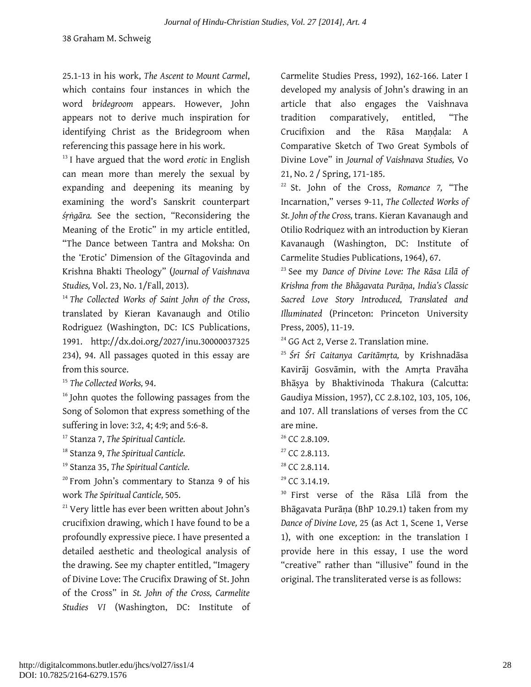25.1-13 in his work, *The Ascent to Mount Carmel*, which contains four instances in which the word *bridegroom* appears. However, John appears not to derive much inspiration for identifying Christ as the Bridegroom when referencing this passage here in his work.

<sup>13</sup> I have argued that the word *erotic* in English can mean more than merely the sexual by expanding and deepening its meaning by examining the word's Sanskrit counterpart *śṛṅgāra.* See the section, "Reconsidering the Meaning of the Erotic" in my article entitled, "The Dance between Tantra and Moksha: On the 'Erotic' Dimension of the Gītagovinda and Krishna Bhakti Theology" (*Journal of Vaishnava Studies,* Vol. 23, No. 1/Fall, 2013).

<span id="page-28-0"></span><sup>14</sup> *The Collected Works of Saint John of the Cross*, translated by Kieran Kavanaugh and Otilio Rodriguez (Washington, DC: ICS Publications, 1991. [http://dx.doi.org/2027/inu.3000003732](http://dx.doi.org/2027/inu.300000373)5 234), 94. All passages quoted in this essay are from this source.

<sup>15</sup> *The Collected Works,* 94.

<sup>16</sup> John quotes the following passages from the Song of Solomon that express something of the suffering in love: 3:2, 4; 4:9; and 5:6-8.

<sup>17</sup> Stanza 7, *The Spiritual Canticle.*

<sup>18</sup> Stanza 9, *The Spiritual Canticle.*

<sup>19</sup> Stanza 35, *The Spiritual Canticle.* 

<span id="page-28-1"></span><sup>20</sup> From John's commentary to Stanza 9 of his work *The Spiritual Canticle,* 505.

<sup>21</sup> Very little has ever been written about John's crucifixion drawing, which I have found to be a profoundly expressive piece. I have presented a detailed aesthetic and theological analysis of the drawing. See my chapter entitled, "Imagery of Divine Love: The Crucifix Drawing of St. John of the Cross" in *St. John of the Cross, Carmelite Studies VI* (Washington, DC: Institute of Carmelite Studies Press, 1992), 162-166. Later I developed my analysis of John's drawing in an article that also engages the Vaishnava tradition comparatively, entitled, "The Crucifixion and the Rāsa Mandala: A Comparative Sketch of Two Great Symbols of Divine Love" in *Journal of Vaishnava Studies,* Vo 21, No. 2 / Spring, 171-185.

<sup>22</sup> St. John of the Cross, *Romance 7,* "The Incarnation," verses 9-11, *The Collected Works of St. John of the Cross,* trans. Kieran Kavanaugh and Otilio Rodriquez with an introduction by Kieran Kavanaugh (Washington, DC: Institute of Carmelite Studies Publications, 1964), 67.

<sup>23</sup> See my *Dance of Divine Love: The Rāsa Līlā of Krishna from the Bhāgavata Purāṇa*, *India's Classic Sacred Love Story Introduced, Translated and Illuminated* (Princeton: Princeton University Press, 2005), 11-19.

<sup>24</sup> GG Act 2, Verse 2. Translation mine.

<sup>25</sup> *Śrī Śrī Caitanya Caritāmṛta,* by Krishnadāsa Kavirāj Gosvāmin, with the Amṛta Pravāha Bhāṣya by Bhaktivinoda Thakura (Calcutta: Gaudiya Mission, 1957), CC 2.8.102, 103, 105, 106, and 107. All translations of verses from the CC are mine.

- $26$  CC 2.8.109.
- $27$  CC 2.8.113.
- $28$  CC 2.8.114.
- $29$  CC 3.14.19.

<sup>30</sup> First verse of the Rāsa Līlā from the Bhāgavata Purāṇa (BhP 10.29.1) taken from my *Dance of Divine Love,* 25 (as Act 1, Scene 1, Verse 1), with one exception: in the translation I provide here in this essay, I use the word "creative" rather than "illusive" found in the original. The transliterated verse is as follows: